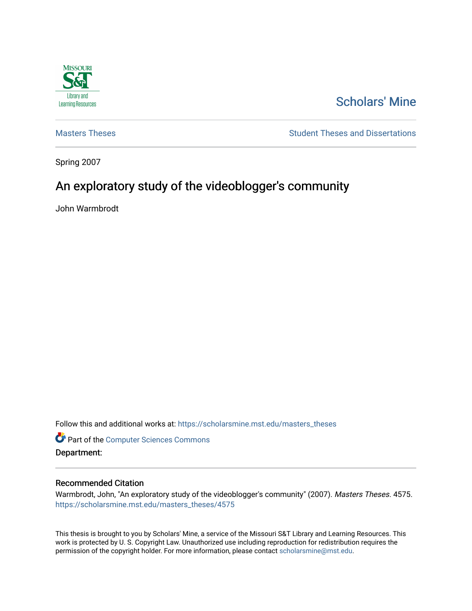

# [Scholars' Mine](https://scholarsmine.mst.edu/)

[Masters Theses](https://scholarsmine.mst.edu/masters_theses) **Student Theses and Dissertations** Student Theses and Dissertations

Spring 2007

# An exploratory study of the videoblogger's community

John Warmbrodt

Follow this and additional works at: [https://scholarsmine.mst.edu/masters\\_theses](https://scholarsmine.mst.edu/masters_theses?utm_source=scholarsmine.mst.edu%2Fmasters_theses%2F4575&utm_medium=PDF&utm_campaign=PDFCoverPages) 

**Part of the [Computer Sciences Commons](http://network.bepress.com/hgg/discipline/142?utm_source=scholarsmine.mst.edu%2Fmasters_theses%2F4575&utm_medium=PDF&utm_campaign=PDFCoverPages)** Department:

#### Recommended Citation

Warmbrodt, John, "An exploratory study of the videoblogger's community" (2007). Masters Theses. 4575. [https://scholarsmine.mst.edu/masters\\_theses/4575](https://scholarsmine.mst.edu/masters_theses/4575?utm_source=scholarsmine.mst.edu%2Fmasters_theses%2F4575&utm_medium=PDF&utm_campaign=PDFCoverPages) 

This thesis is brought to you by Scholars' Mine, a service of the Missouri S&T Library and Learning Resources. This work is protected by U. S. Copyright Law. Unauthorized use including reproduction for redistribution requires the permission of the copyright holder. For more information, please contact [scholarsmine@mst.edu](mailto:scholarsmine@mst.edu).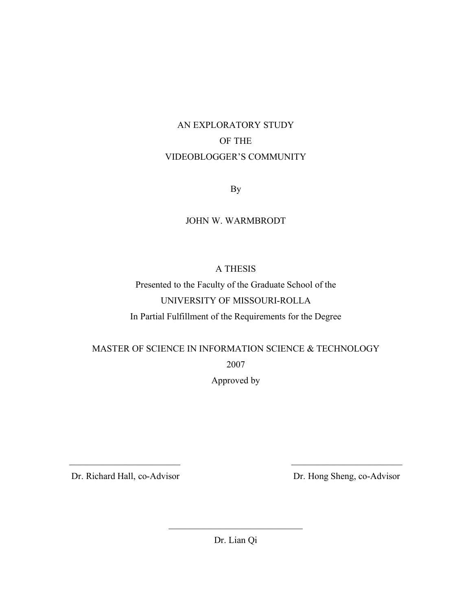# AN EXPLORATORY STUDY OF THE VIDEOBLOGGER'S COMMUNITY

By

### JOHN W. WARMBRODT

## A THESIS

Presented to the Faculty of the Graduate School of the UNIVERSITY OF MISSOURI-ROLLA

In Partial Fulfillment of the Requirements for the Degree

MASTER OF SCIENCE IN INFORMATION SCIENCE & TECHNOLOGY

2007

Approved by

Dr. Richard Hall, co-Advisor Dr. Hong Sheng, co-Advisor

Dr. Lian Qi

 $\mathcal{L}_\text{max}$ 

 $\mathcal{L}_\text{max}$  , and the contract of the contract of the contract of the contract of the contract of the contract of the contract of the contract of the contract of the contract of the contract of the contract of the contr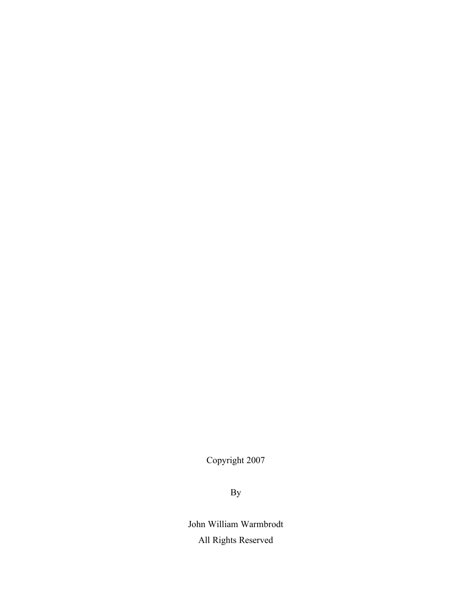Copyright 2007

By

John William Warmbrodt All Rights Reserved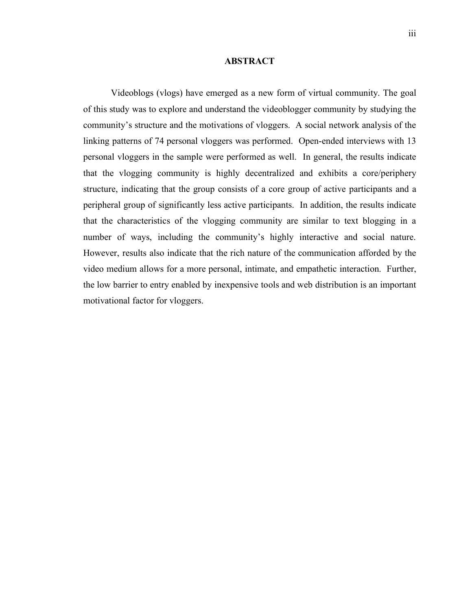#### **ABSTRACT**

Videoblogs (vlogs) have emerged as a new form of virtual community. The goal of this study was to explore and understand the videoblogger community by studying the community's structure and the motivations of vloggers. A social network analysis of the linking patterns of 74 personal vloggers was performed. Open-ended interviews with 13 personal vloggers in the sample were performed as well. In general, the results indicate that the vlogging community is highly decentralized and exhibits a core/periphery structure, indicating that the group consists of a core group of active participants and a peripheral group of significantly less active participants. In addition, the results indicate that the characteristics of the vlogging community are similar to text blogging in a number of ways, including the community's highly interactive and social nature. However, results also indicate that the rich nature of the communication afforded by the video medium allows for a more personal, intimate, and empathetic interaction. Further, the low barrier to entry enabled by inexpensive tools and web distribution is an important motivational factor for vloggers.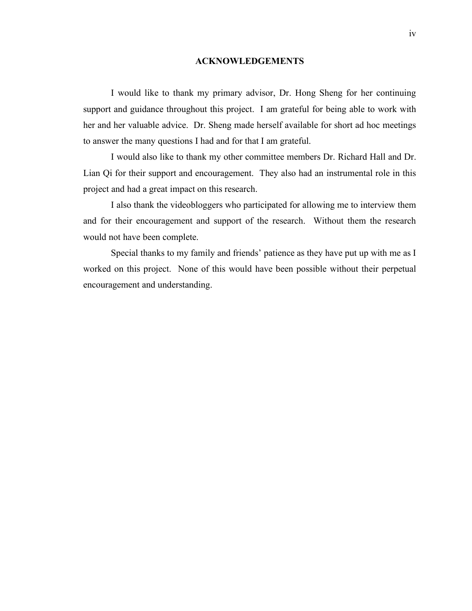#### **ACKNOWLEDGEMENTS**

I would like to thank my primary advisor, Dr. Hong Sheng for her continuing support and guidance throughout this project. I am grateful for being able to work with her and her valuable advice. Dr. Sheng made herself available for short ad hoc meetings to answer the many questions I had and for that I am grateful.

I would also like to thank my other committee members Dr. Richard Hall and Dr. Lian Qi for their support and encouragement. They also had an instrumental role in this project and had a great impact on this research.

I also thank the videobloggers who participated for allowing me to interview them and for their encouragement and support of the research. Without them the research would not have been complete.

Special thanks to my family and friends' patience as they have put up with me as I worked on this project. None of this would have been possible without their perpetual encouragement and understanding.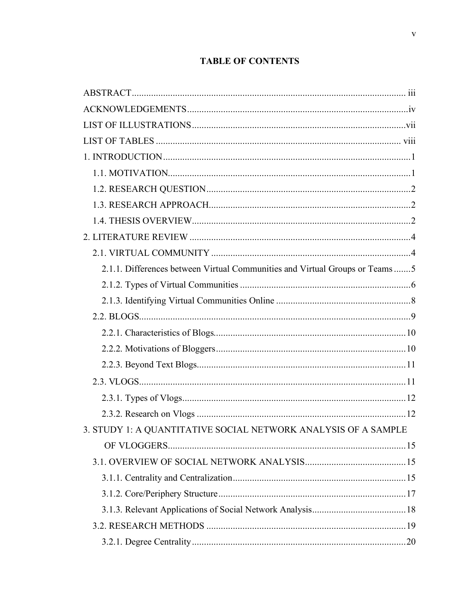# **TABLE OF CONTENTS**

| 2.1.1. Differences between Virtual Communities and Virtual Groups or Teams5 |  |
|-----------------------------------------------------------------------------|--|
|                                                                             |  |
|                                                                             |  |
|                                                                             |  |
|                                                                             |  |
|                                                                             |  |
|                                                                             |  |
|                                                                             |  |
|                                                                             |  |
|                                                                             |  |
| 3. STUDY 1: A QUANTITATIVE SOCIAL NETWORK ANALYSIS OF A SAMPLE              |  |
|                                                                             |  |
|                                                                             |  |
|                                                                             |  |
|                                                                             |  |
|                                                                             |  |
|                                                                             |  |
|                                                                             |  |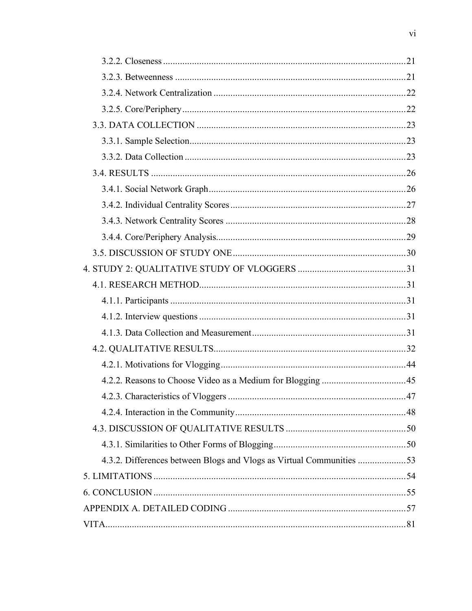| 4.3.2. Differences between Blogs and Vlogs as Virtual Communities 53 |  |
|----------------------------------------------------------------------|--|
|                                                                      |  |
|                                                                      |  |
|                                                                      |  |
|                                                                      |  |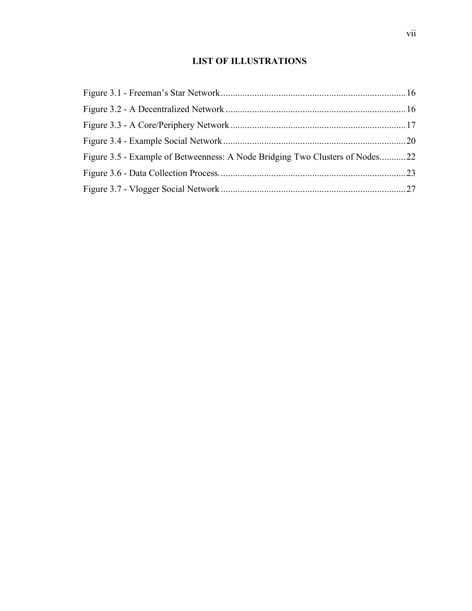# **LIST OF ILLUSTRATIONS**

| Figure 3.5 - Example of Betweenness: A Node Bridging Two Clusters of Nodes22 |  |
|------------------------------------------------------------------------------|--|
|                                                                              |  |
|                                                                              |  |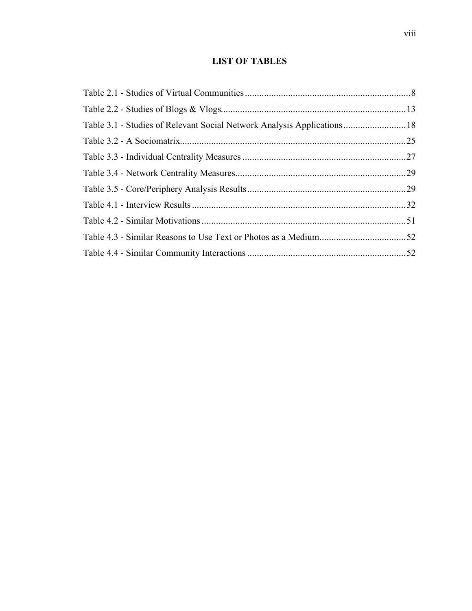# **LIST OF TABLES**

| Table 3.1 - Studies of Relevant Social Network Analysis Applications 18 |  |
|-------------------------------------------------------------------------|--|
|                                                                         |  |
|                                                                         |  |
|                                                                         |  |
|                                                                         |  |
|                                                                         |  |
|                                                                         |  |
|                                                                         |  |
|                                                                         |  |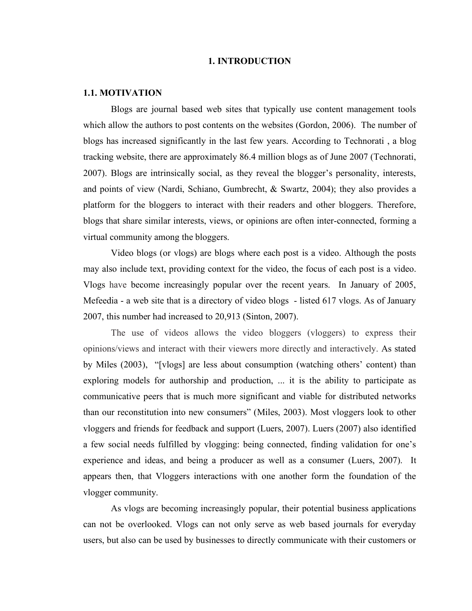#### **1. INTRODUCTION**

#### **1.1. MOTIVATION**

Blogs are journal based web sites that typically use content management tools which allow the authors to post contents on the websites (Gordon, 2006). The number of blogs has increased significantly in the last few years. According to Technorati , a blog tracking website, there are approximately 86.4 million blogs as of June 2007 (Technorati, 2007). Blogs are intrinsically social, as they reveal the blogger's personality, interests, and points of view (Nardi, Schiano, Gumbrecht, & Swartz, 2004); they also provides a platform for the bloggers to interact with their readers and other bloggers. Therefore, blogs that share similar interests, views, or opinions are often inter-connected, forming a virtual community among the bloggers.

Video blogs (or vlogs) are blogs where each post is a video. Although the posts may also include text, providing context for the video, the focus of each post is a video. Vlogs have become increasingly popular over the recent years. In January of 2005, Mefeedia - a web site that is a directory of video blogs - listed 617 vlogs. As of January 2007, this number had increased to 20,913 (Sinton, 2007).

The use of videos allows the video bloggers (vloggers) to express their opinions/views and interact with their viewers more directly and interactively. As stated by Miles (2003), "[vlogs] are less about consumption (watching others' content) than exploring models for authorship and production, ... it is the ability to participate as communicative peers that is much more significant and viable for distributed networks than our reconstitution into new consumers" (Miles, 2003). Most vloggers look to other vloggers and friends for feedback and support (Luers, 2007). Luers (2007) also identified a few social needs fulfilled by vlogging: being connected, finding validation for one's experience and ideas, and being a producer as well as a consumer (Luers, 2007). It appears then, that Vloggers interactions with one another form the foundation of the vlogger community.

As vlogs are becoming increasingly popular, their potential business applications can not be overlooked. Vlogs can not only serve as web based journals for everyday users, but also can be used by businesses to directly communicate with their customers or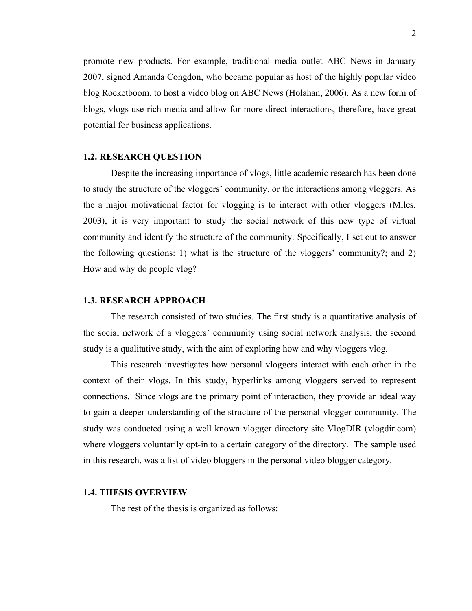promote new products. For example, traditional media outlet ABC News in January 2007, signed Amanda Congdon, who became popular as host of the highly popular video blog Rocketboom, to host a video blog on ABC News (Holahan, 2006). As a new form of blogs, vlogs use rich media and allow for more direct interactions, therefore, have great potential for business applications.

#### **1.2. RESEARCH QUESTION**

Despite the increasing importance of vlogs, little academic research has been done to study the structure of the vloggers' community, or the interactions among vloggers. As the a major motivational factor for vlogging is to interact with other vloggers (Miles, 2003), it is very important to study the social network of this new type of virtual community and identify the structure of the community. Specifically, I set out to answer the following questions: 1) what is the structure of the vloggers' community?; and 2) How and why do people vlog?

#### **1.3. RESEARCH APPROACH**

The research consisted of two studies. The first study is a quantitative analysis of the social network of a vloggers' community using social network analysis; the second study is a qualitative study, with the aim of exploring how and why vloggers vlog.

This research investigates how personal vloggers interact with each other in the context of their vlogs. In this study, hyperlinks among vloggers served to represent connections. Since vlogs are the primary point of interaction, they provide an ideal way to gain a deeper understanding of the structure of the personal vlogger community. The study was conducted using a well known vlogger directory site VlogDIR (vlogdir.com) where vloggers voluntarily opt-in to a certain category of the directory. The sample used in this research, was a list of video bloggers in the personal video blogger category.

#### **1.4. THESIS OVERVIEW**

The rest of the thesis is organized as follows: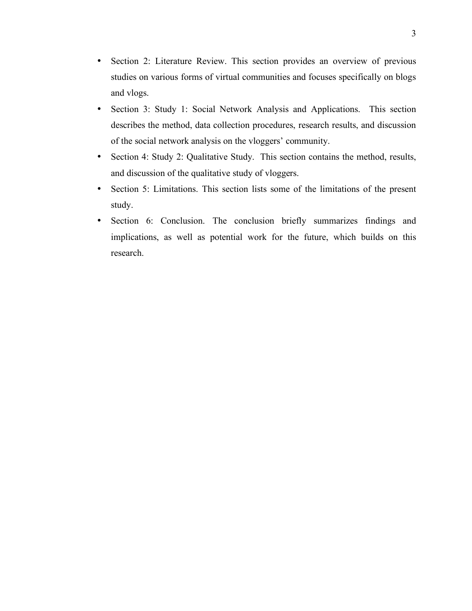- Section 2: Literature Review. This section provides an overview of previous studies on various forms of virtual communities and focuses specifically on blogs and vlogs.
- Section 3: Study 1: Social Network Analysis and Applications. This section describes the method, data collection procedures, research results, and discussion of the social network analysis on the vloggers' community.
- Section 4: Study 2: Qualitative Study. This section contains the method, results, and discussion of the qualitative study of vloggers.
- Section 5: Limitations. This section lists some of the limitations of the present study.
- Section 6: Conclusion. The conclusion briefly summarizes findings and implications, as well as potential work for the future, which builds on this research.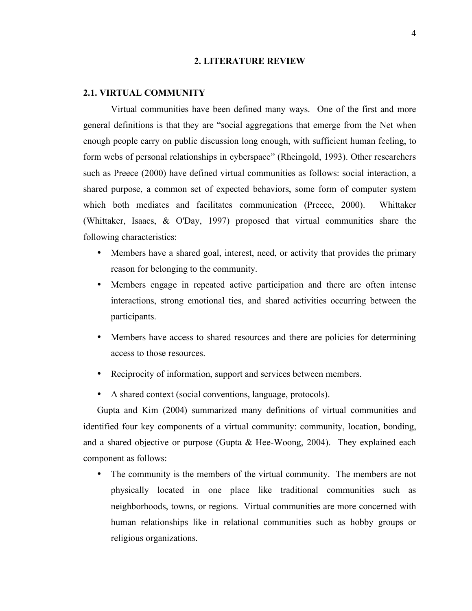#### **2. LITERATURE REVIEW**

#### **2.1. VIRTUAL COMMUNITY**

Virtual communities have been defined many ways. One of the first and more general definitions is that they are "social aggregations that emerge from the Net when enough people carry on public discussion long enough, with sufficient human feeling, to form webs of personal relationships in cyberspace" (Rheingold, 1993). Other researchers such as Preece (2000) have defined virtual communities as follows: social interaction, a shared purpose, a common set of expected behaviors, some form of computer system which both mediates and facilitates communication (Preece, 2000). Whittaker (Whittaker, Isaacs, & O'Day, 1997) proposed that virtual communities share the following characteristics:

- Members have a shared goal, interest, need, or activity that provides the primary reason for belonging to the community.
- Members engage in repeated active participation and there are often intense interactions, strong emotional ties, and shared activities occurring between the participants.
- Members have access to shared resources and there are policies for determining access to those resources.
- Reciprocity of information, support and services between members.
- A shared context (social conventions, language, protocols).

Gupta and Kim (2004) summarized many definitions of virtual communities and identified four key components of a virtual community: community, location, bonding, and a shared objective or purpose (Gupta & Hee-Woong, 2004). They explained each component as follows:

• The community is the members of the virtual community. The members are not physically located in one place like traditional communities such as neighborhoods, towns, or regions. Virtual communities are more concerned with human relationships like in relational communities such as hobby groups or religious organizations.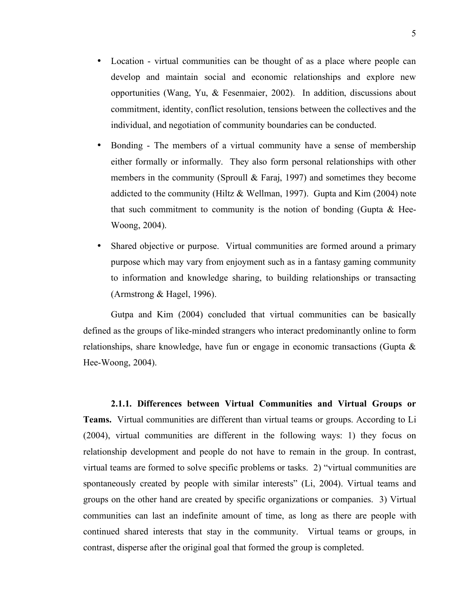- Location virtual communities can be thought of as a place where people can develop and maintain social and economic relationships and explore new opportunities (Wang, Yu, & Fesenmaier, 2002). In addition, discussions about commitment, identity, conflict resolution, tensions between the collectives and the individual, and negotiation of community boundaries can be conducted.
- Bonding The members of a virtual community have a sense of membership either formally or informally. They also form personal relationships with other members in the community (Sproull & Faraj, 1997) and sometimes they become addicted to the community (Hiltz & Wellman, 1997). Gupta and Kim (2004) note that such commitment to community is the notion of bonding (Gupta  $\&$  Hee-Woong, 2004).
- Shared objective or purpose. Virtual communities are formed around a primary purpose which may vary from enjoyment such as in a fantasy gaming community to information and knowledge sharing, to building relationships or transacting (Armstrong & Hagel, 1996).

Gutpa and Kim (2004) concluded that virtual communities can be basically defined as the groups of like-minded strangers who interact predominantly online to form relationships, share knowledge, have fun or engage in economic transactions (Gupta & Hee-Woong, 2004).

**2.1.1. Differences between Virtual Communities and Virtual Groups or Teams.** Virtual communities are different than virtual teams or groups. According to Li (2004), virtual communities are different in the following ways: 1) they focus on relationship development and people do not have to remain in the group. In contrast, virtual teams are formed to solve specific problems or tasks. 2) "virtual communities are spontaneously created by people with similar interests" (Li, 2004). Virtual teams and groups on the other hand are created by specific organizations or companies. 3) Virtual communities can last an indefinite amount of time, as long as there are people with continued shared interests that stay in the community. Virtual teams or groups, in contrast, disperse after the original goal that formed the group is completed.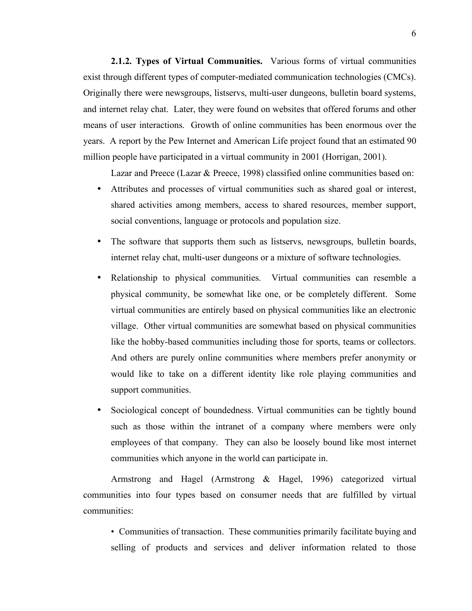**2.1.2. Types of Virtual Communities.** Various forms of virtual communities exist through different types of computer-mediated communication technologies (CMCs). Originally there were newsgroups, listservs, multi-user dungeons, bulletin board systems, and internet relay chat. Later, they were found on websites that offered forums and other means of user interactions. Growth of online communities has been enormous over the years. A report by the Pew Internet and American Life project found that an estimated 90 million people have participated in a virtual community in 2001 (Horrigan, 2001).

Lazar and Preece (Lazar & Preece, 1998) classified online communities based on:

- Attributes and processes of virtual communities such as shared goal or interest, shared activities among members, access to shared resources, member support, social conventions, language or protocols and population size.
- The software that supports them such as listservs, newsgroups, bulletin boards, internet relay chat, multi-user dungeons or a mixture of software technologies.
- Relationship to physical communities. Virtual communities can resemble a physical community, be somewhat like one, or be completely different. Some virtual communities are entirely based on physical communities like an electronic village. Other virtual communities are somewhat based on physical communities like the hobby-based communities including those for sports, teams or collectors. And others are purely online communities where members prefer anonymity or would like to take on a different identity like role playing communities and support communities.
- Sociological concept of boundedness. Virtual communities can be tightly bound such as those within the intranet of a company where members were only employees of that company. They can also be loosely bound like most internet communities which anyone in the world can participate in.

Armstrong and Hagel (Armstrong & Hagel, 1996) categorized virtual communities into four types based on consumer needs that are fulfilled by virtual communities:

• Communities of transaction. These communities primarily facilitate buying and selling of products and services and deliver information related to those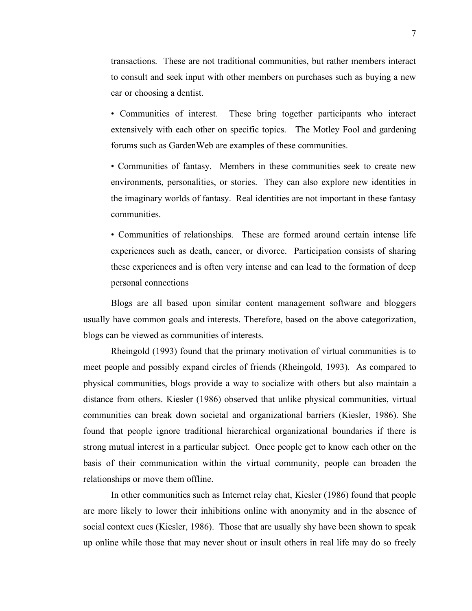transactions. These are not traditional communities, but rather members interact to consult and seek input with other members on purchases such as buying a new car or choosing a dentist.

• Communities of interest. These bring together participants who interact extensively with each other on specific topics. The Motley Fool and gardening forums such as GardenWeb are examples of these communities.

• Communities of fantasy. Members in these communities seek to create new environments, personalities, or stories. They can also explore new identities in the imaginary worlds of fantasy. Real identities are not important in these fantasy communities.

• Communities of relationships. These are formed around certain intense life experiences such as death, cancer, or divorce. Participation consists of sharing these experiences and is often very intense and can lead to the formation of deep personal connections

Blogs are all based upon similar content management software and bloggers usually have common goals and interests. Therefore, based on the above categorization, blogs can be viewed as communities of interests.

Rheingold (1993) found that the primary motivation of virtual communities is to meet people and possibly expand circles of friends (Rheingold, 1993). As compared to physical communities, blogs provide a way to socialize with others but also maintain a distance from others. Kiesler (1986) observed that unlike physical communities, virtual communities can break down societal and organizational barriers (Kiesler, 1986). She found that people ignore traditional hierarchical organizational boundaries if there is strong mutual interest in a particular subject. Once people get to know each other on the basis of their communication within the virtual community, people can broaden the relationships or move them offline.

In other communities such as Internet relay chat, Kiesler (1986) found that people are more likely to lower their inhibitions online with anonymity and in the absence of social context cues (Kiesler, 1986). Those that are usually shy have been shown to speak up online while those that may never shout or insult others in real life may do so freely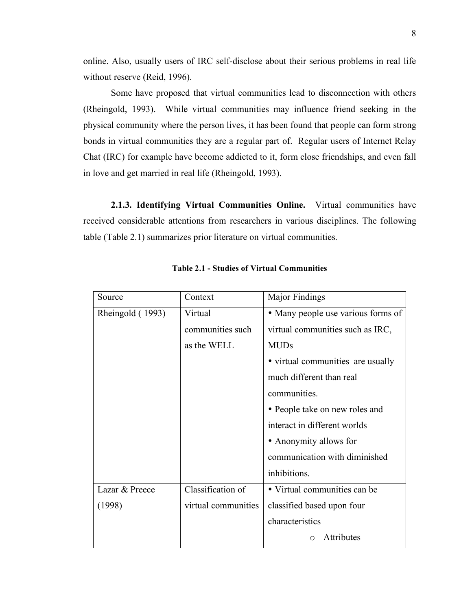online. Also, usually users of IRC self-disclose about their serious problems in real life without reserve (Reid, 1996).

Some have proposed that virtual communities lead to disconnection with others (Rheingold, 1993). While virtual communities may influence friend seeking in the physical community where the person lives, it has been found that people can form strong bonds in virtual communities they are a regular part of. Regular users of Internet Relay Chat (IRC) for example have become addicted to it, form close friendships, and even fall in love and get married in real life (Rheingold, 1993).

**2.1.3. Identifying Virtual Communities Online.** Virtual communities have received considerable attentions from researchers in various disciplines. The following table (Table 2.1) summarizes prior literature on virtual communities.

| Source           | Context             | Major Findings                     |  |  |
|------------------|---------------------|------------------------------------|--|--|
| Rheingold (1993) | Virtual             | • Many people use various forms of |  |  |
|                  | communities such    | virtual communities such as IRC,   |  |  |
|                  | as the WELL         | <b>MUDs</b>                        |  |  |
|                  |                     | • virtual communities are usually  |  |  |
|                  |                     | much different than real           |  |  |
|                  |                     | communities.                       |  |  |
|                  |                     | • People take on new roles and     |  |  |
|                  |                     | interact in different worlds       |  |  |
|                  |                     | • Anonymity allows for             |  |  |
|                  |                     | communication with diminished      |  |  |
|                  |                     | inhibitions.                       |  |  |
| Lazar & Preece   | Classification of   | • Virtual communities can be       |  |  |
| (1998)           | virtual communities | classified based upon four         |  |  |
|                  |                     | characteristics                    |  |  |
|                  |                     | Attributes                         |  |  |

**Table 2.1 - Studies of Virtual Communities**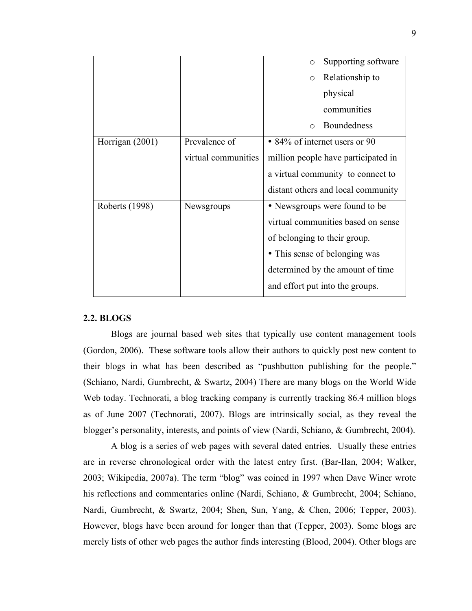|                 |                     | Supporting software<br>$\circ$      |
|-----------------|---------------------|-------------------------------------|
|                 |                     |                                     |
|                 |                     | Relationship to<br>$\circ$          |
|                 |                     | physical                            |
|                 |                     | communities                         |
|                 |                     | <b>Boundedness</b><br>$\bigcirc$    |
| Horrigan (2001) | Prevalence of       | • 84% of internet users or 90       |
|                 | virtual communities | million people have participated in |
|                 |                     | a virtual community to connect to   |
|                 |                     | distant others and local community  |
| Roberts (1998)  | Newsgroups          | • Newsgroups were found to be       |
|                 |                     | virtual communities based on sense  |
|                 |                     | of belonging to their group.        |
|                 |                     | • This sense of belonging was       |
|                 |                     | determined by the amount of time    |
|                 |                     | and effort put into the groups.     |

#### **2.2. BLOGS**

Blogs are journal based web sites that typically use content management tools (Gordon, 2006). These software tools allow their authors to quickly post new content to their blogs in what has been described as "pushbutton publishing for the people." (Schiano, Nardi, Gumbrecht, & Swartz, 2004) There are many blogs on the World Wide Web today. Technorati, a blog tracking company is currently tracking 86.4 million blogs as of June 2007 (Technorati, 2007). Blogs are intrinsically social, as they reveal the blogger's personality, interests, and points of view (Nardi, Schiano, & Gumbrecht, 2004).

A blog is a series of web pages with several dated entries. Usually these entries are in reverse chronological order with the latest entry first. (Bar-Ilan, 2004; Walker, 2003; Wikipedia, 2007a). The term "blog" was coined in 1997 when Dave Winer wrote his reflections and commentaries online (Nardi, Schiano, & Gumbrecht, 2004; Schiano, Nardi, Gumbrecht, & Swartz, 2004; Shen, Sun, Yang, & Chen, 2006; Tepper, 2003). However, blogs have been around for longer than that (Tepper, 2003). Some blogs are merely lists of other web pages the author finds interesting (Blood, 2004). Other blogs are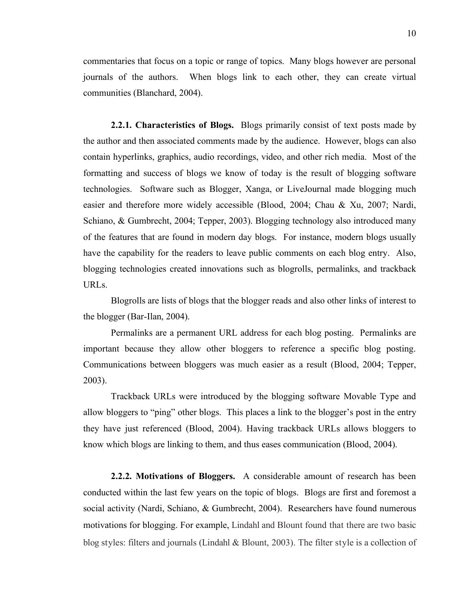commentaries that focus on a topic or range of topics. Many blogs however are personal journals of the authors. When blogs link to each other, they can create virtual communities (Blanchard, 2004).

**2.2.1. Characteristics of Blogs.** Blogs primarily consist of text posts made by the author and then associated comments made by the audience. However, blogs can also contain hyperlinks, graphics, audio recordings, video, and other rich media. Most of the formatting and success of blogs we know of today is the result of blogging software technologies. Software such as Blogger, Xanga, or LiveJournal made blogging much easier and therefore more widely accessible (Blood, 2004; Chau & Xu, 2007; Nardi, Schiano, & Gumbrecht, 2004; Tepper, 2003). Blogging technology also introduced many of the features that are found in modern day blogs. For instance, modern blogs usually have the capability for the readers to leave public comments on each blog entry. Also, blogging technologies created innovations such as blogrolls, permalinks, and trackback URLs.

Blogrolls are lists of blogs that the blogger reads and also other links of interest to the blogger (Bar-Ilan, 2004).

Permalinks are a permanent URL address for each blog posting. Permalinks are important because they allow other bloggers to reference a specific blog posting. Communications between bloggers was much easier as a result (Blood, 2004; Tepper, 2003).

Trackback URLs were introduced by the blogging software Movable Type and allow bloggers to "ping" other blogs. This places a link to the blogger's post in the entry they have just referenced (Blood, 2004). Having trackback URLs allows bloggers to know which blogs are linking to them, and thus eases communication (Blood, 2004).

**2.2.2. Motivations of Bloggers.** A considerable amount of research has been conducted within the last few years on the topic of blogs. Blogs are first and foremost a social activity (Nardi, Schiano, & Gumbrecht, 2004). Researchers have found numerous motivations for blogging. For example, Lindahl and Blount found that there are two basic blog styles: filters and journals (Lindahl & Blount, 2003). The filter style is a collection of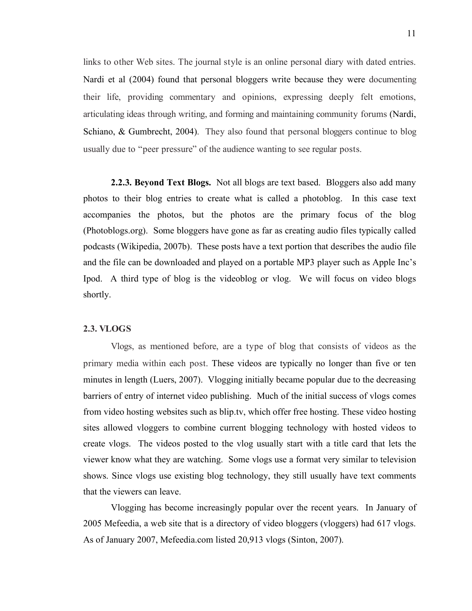links to other Web sites. The journal style is an online personal diary with dated entries. Nardi et al (2004) found that personal bloggers write because they were documenting their life, providing commentary and opinions, expressing deeply felt emotions, articulating ideas through writing, and forming and maintaining community forums (Nardi, Schiano, & Gumbrecht, 2004). They also found that personal bloggers continue to blog usually due to "peer pressure" of the audience wanting to see regular posts.

**2.2.3. Beyond Text Blogs.** Not all blogs are text based. Bloggers also add many photos to their blog entries to create what is called a photoblog. In this case text accompanies the photos, but the photos are the primary focus of the blog (Photoblogs.org). Some bloggers have gone as far as creating audio files typically called podcasts (Wikipedia, 2007b). These posts have a text portion that describes the audio file and the file can be downloaded and played on a portable MP3 player such as Apple Inc's Ipod. A third type of blog is the videoblog or vlog. We will focus on video blogs shortly.

#### **2.3. VLOGS**

Vlogs, as mentioned before, are a type of blog that consists of videos as the primary media within each post. These videos are typically no longer than five or ten minutes in length (Luers, 2007). Vlogging initially became popular due to the decreasing barriers of entry of internet video publishing. Much of the initial success of vlogs comes from video hosting websites such as blip.tv, which offer free hosting. These video hosting sites allowed vloggers to combine current blogging technology with hosted videos to create vlogs. The videos posted to the vlog usually start with a title card that lets the viewer know what they are watching. Some vlogs use a format very similar to television shows. Since vlogs use existing blog technology, they still usually have text comments that the viewers can leave.

Vlogging has become increasingly popular over the recent years. In January of 2005 Mefeedia, a web site that is a directory of video bloggers (vloggers) had 617 vlogs. As of January 2007, Mefeedia.com listed 20,913 vlogs (Sinton, 2007).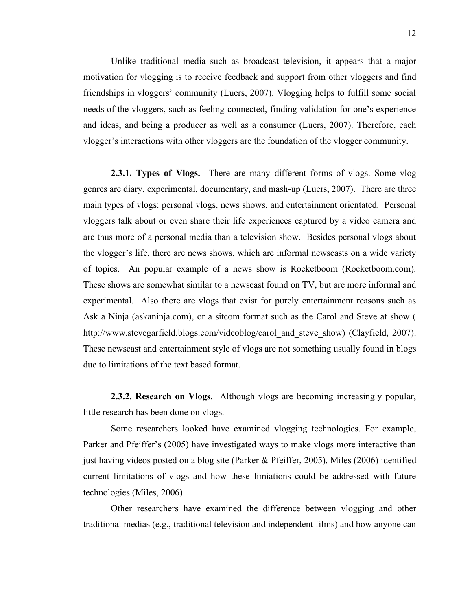Unlike traditional media such as broadcast television, it appears that a major motivation for vlogging is to receive feedback and support from other vloggers and find friendships in vloggers' community (Luers, 2007). Vlogging helps to fulfill some social needs of the vloggers, such as feeling connected, finding validation for one's experience and ideas, and being a producer as well as a consumer (Luers, 2007). Therefore, each vlogger's interactions with other vloggers are the foundation of the vlogger community.

**2.3.1. Types of Vlogs.** There are many different forms of vlogs. Some vlog genres are diary, experimental, documentary, and mash-up (Luers, 2007). There are three main types of vlogs: personal vlogs, news shows, and entertainment orientated. Personal vloggers talk about or even share their life experiences captured by a video camera and are thus more of a personal media than a television show. Besides personal vlogs about the vlogger's life, there are news shows, which are informal newscasts on a wide variety of topics. An popular example of a news show is Rocketboom (Rocketboom.com). These shows are somewhat similar to a newscast found on TV, but are more informal and experimental. Also there are vlogs that exist for purely entertainment reasons such as Ask a Ninja (askaninja.com), or a sitcom format such as the Carol and Steve at show ( http://www.stevegarfield.blogs.com/videoblog/carol\_and\_steve\_show) (Clayfield, 2007). These newscast and entertainment style of vlogs are not something usually found in blogs due to limitations of the text based format.

**2.3.2. Research on Vlogs.** Although vlogs are becoming increasingly popular, little research has been done on vlogs.

Some researchers looked have examined vlogging technologies. For example, Parker and Pfeiffer's (2005) have investigated ways to make vlogs more interactive than just having videos posted on a blog site (Parker & Pfeiffer, 2005). Miles (2006) identified current limitations of vlogs and how these limiations could be addressed with future technologies (Miles, 2006).

Other researchers have examined the difference between vlogging and other traditional medias (e.g., traditional television and independent films) and how anyone can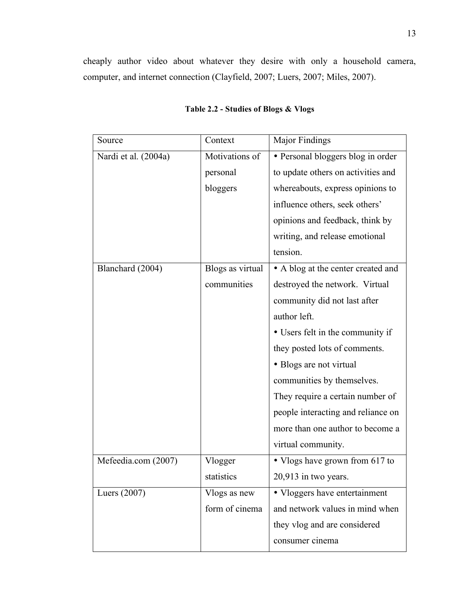cheaply author video about whatever they desire with only a household camera, computer, and internet connection (Clayfield, 2007; Luers, 2007; Miles, 2007).

| Source               | Context          | Major Findings                     |
|----------------------|------------------|------------------------------------|
| Nardi et al. (2004a) | Motivations of   | • Personal bloggers blog in order  |
|                      | personal         | to update others on activities and |
|                      | bloggers         | whereabouts, express opinions to   |
|                      |                  | influence others, seek others'     |
|                      |                  | opinions and feedback, think by    |
|                      |                  | writing, and release emotional     |
|                      |                  | tension.                           |
| Blanchard (2004)     | Blogs as virtual | • A blog at the center created and |
|                      | communities      | destroyed the network. Virtual     |
|                      |                  | community did not last after       |
|                      |                  | author left.                       |
|                      |                  | • Users felt in the community if   |
|                      |                  | they posted lots of comments.      |
|                      |                  | • Blogs are not virtual            |
|                      |                  | communities by themselves.         |
|                      |                  | They require a certain number of   |
|                      |                  | people interacting and reliance on |
|                      |                  | more than one author to become a   |
|                      |                  | virtual community.                 |
| Mefeedia.com (2007)  | Vlogger          | • Vlogs have grown from 617 to     |
|                      | statistics       | $20,913$ in two years.             |
| Luers $(2007)$       | Vlogs as new     | • Vloggers have entertainment      |
|                      | form of cinema   | and network values in mind when    |
|                      |                  | they vlog and are considered       |
|                      |                  | consumer cinema                    |

## **Table 2.2 - Studies of Blogs & Vlogs**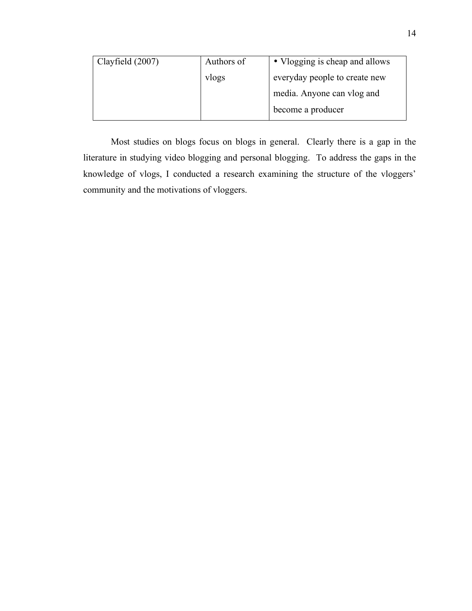| Clayfield (2007) | • Vlogging is cheap and allows<br>Authors of |                            |
|------------------|----------------------------------------------|----------------------------|
|                  | everyday people to create new<br>vlogs       |                            |
|                  |                                              | media. Anyone can vlog and |
|                  |                                              | become a producer          |

Most studies on blogs focus on blogs in general. Clearly there is a gap in the literature in studying video blogging and personal blogging. To address the gaps in the knowledge of vlogs, I conducted a research examining the structure of the vloggers' community and the motivations of vloggers.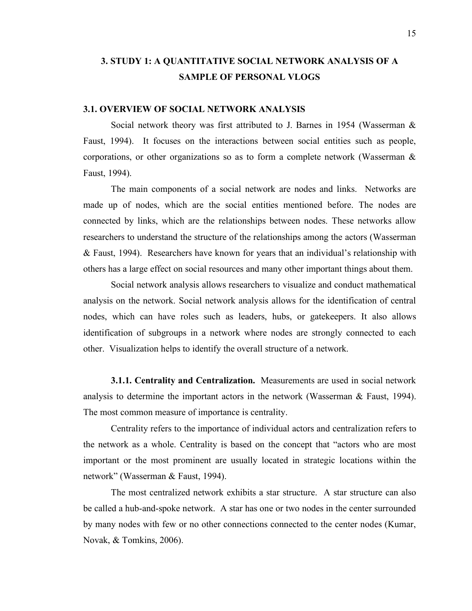# **3. STUDY 1: A QUANTITATIVE SOCIAL NETWORK ANALYSIS OF A SAMPLE OF PERSONAL VLOGS**

#### **3.1. OVERVIEW OF SOCIAL NETWORK ANALYSIS**

Social network theory was first attributed to J. Barnes in 1954 (Wasserman & Faust, 1994). It focuses on the interactions between social entities such as people, corporations, or other organizations so as to form a complete network (Wasserman & Faust, 1994).

The main components of a social network are nodes and links. Networks are made up of nodes, which are the social entities mentioned before. The nodes are connected by links, which are the relationships between nodes. These networks allow researchers to understand the structure of the relationships among the actors (Wasserman & Faust, 1994). Researchers have known for years that an individual's relationship with others has a large effect on social resources and many other important things about them.

Social network analysis allows researchers to visualize and conduct mathematical analysis on the network. Social network analysis allows for the identification of central nodes, which can have roles such as leaders, hubs, or gatekeepers. It also allows identification of subgroups in a network where nodes are strongly connected to each other. Visualization helps to identify the overall structure of a network.

**3.1.1. Centrality and Centralization.** Measurements are used in social network analysis to determine the important actors in the network (Wasserman & Faust, 1994). The most common measure of importance is centrality.

Centrality refers to the importance of individual actors and centralization refers to the network as a whole. Centrality is based on the concept that "actors who are most important or the most prominent are usually located in strategic locations within the network" (Wasserman & Faust, 1994).

The most centralized network exhibits a star structure. A star structure can also be called a hub-and-spoke network. A star has one or two nodes in the center surrounded by many nodes with few or no other connections connected to the center nodes (Kumar, Novak, & Tomkins, 2006).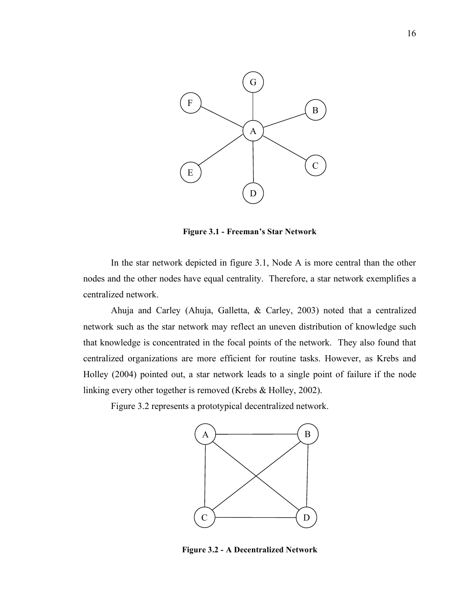

**Figure 3.1 - Freeman's Star Network**

In the star network depicted in figure 3.1, Node A is more central than the other nodes and the other nodes have equal centrality. Therefore, a star network exemplifies a centralized network.

Ahuja and Carley (Ahuja, Galletta, & Carley, 2003) noted that a centralized network such as the star network may reflect an uneven distribution of knowledge such that knowledge is concentrated in the focal points of the network. They also found that centralized organizations are more efficient for routine tasks. However, as Krebs and Holley (2004) pointed out, a star network leads to a single point of failure if the node linking every other together is removed (Krebs & Holley, 2002).

Figure 3.2 represents a prototypical decentralized network.



**Figure 3.2 - A Decentralized Network**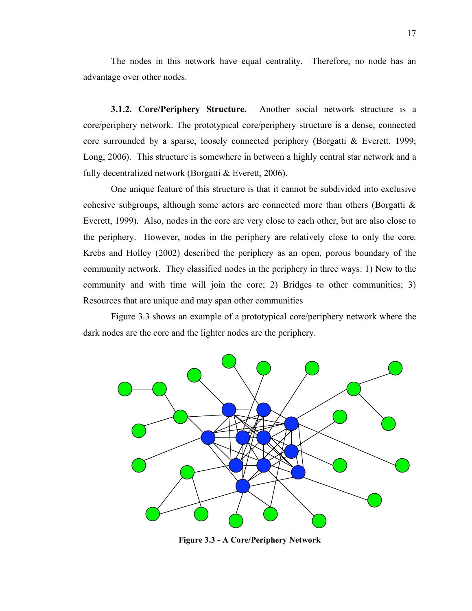The nodes in this network have equal centrality. Therefore, no node has an advantage over other nodes.

**3.1.2. Core/Periphery Structure.** Another social network structure is a core/periphery network. The prototypical core/periphery structure is a dense, connected core surrounded by a sparse, loosely connected periphery (Borgatti & Everett, 1999; Long, 2006). This structure is somewhere in between a highly central star network and a fully decentralized network (Borgatti & Everett, 2006).

One unique feature of this structure is that it cannot be subdivided into exclusive cohesive subgroups, although some actors are connected more than others (Borgatti & Everett, 1999). Also, nodes in the core are very close to each other, but are also close to the periphery. However, nodes in the periphery are relatively close to only the core. Krebs and Holley (2002) described the periphery as an open, porous boundary of the community network. They classified nodes in the periphery in three ways: 1) New to the community and with time will join the core; 2) Bridges to other communities; 3) Resources that are unique and may span other communities

Figure 3.3 shows an example of a prototypical core/periphery network where the dark nodes are the core and the lighter nodes are the periphery.



**Figure 3.3 - A Core/Periphery Network**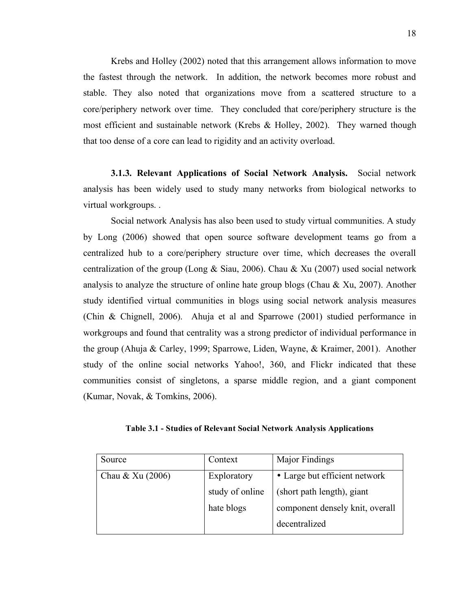Krebs and Holley (2002) noted that this arrangement allows information to move the fastest through the network. In addition, the network becomes more robust and stable. They also noted that organizations move from a scattered structure to a core/periphery network over time. They concluded that core/periphery structure is the most efficient and sustainable network (Krebs & Holley, 2002). They warned though that too dense of a core can lead to rigidity and an activity overload.

**3.1.3. Relevant Applications of Social Network Analysis.** Social network analysis has been widely used to study many networks from biological networks to virtual workgroups. .

Social network Analysis has also been used to study virtual communities. A study by Long (2006) showed that open source software development teams go from a centralized hub to a core/periphery structure over time, which decreases the overall centralization of the group (Long & Siau, 2006). Chau & Xu (2007) used social network analysis to analyze the structure of online hate group blogs (Chau  $\&$  Xu, 2007). Another study identified virtual communities in blogs using social network analysis measures (Chin & Chignell, 2006). Ahuja et al and Sparrowe (2001) studied performance in workgroups and found that centrality was a strong predictor of individual performance in the group (Ahuja & Carley, 1999; Sparrowe, Liden, Wayne, & Kraimer, 2001). Another study of the online social networks Yahoo!, 360, and Flickr indicated that these communities consist of singletons, a sparse middle region, and a giant component (Kumar, Novak, & Tomkins, 2006).

| Table 3.1 - Studies of Relevant Social Network Analysis Applications |
|----------------------------------------------------------------------|
|----------------------------------------------------------------------|

| Source           | Context                                      | Major Findings                  |
|------------------|----------------------------------------------|---------------------------------|
| Chau & Xu (2006) | • Large but efficient network<br>Exploratory |                                 |
|                  | study of online                              | (short path length), giant      |
|                  | hate blogs                                   | component densely knit, overall |
|                  |                                              | decentralized                   |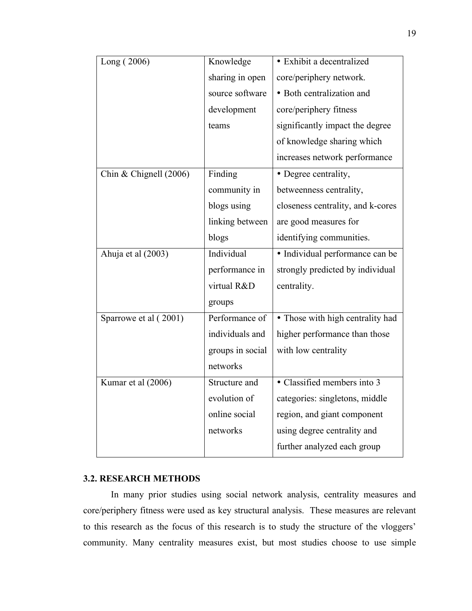| Long (2006)            | Knowledge        | · Exhibit a decentralized         |
|------------------------|------------------|-----------------------------------|
|                        | sharing in open  | core/periphery network.           |
|                        | source software  | • Both centralization and         |
|                        | development      | core/periphery fitness            |
|                        | teams            | significantly impact the degree   |
|                        |                  | of knowledge sharing which        |
|                        |                  | increases network performance     |
| Chin & Chignell (2006) | Finding          | · Degree centrality,              |
|                        | community in     | betweenness centrality,           |
|                        | blogs using      | closeness centrality, and k-cores |
|                        | linking between  | are good measures for             |
|                        | blogs            | identifying communities.          |
| Ahuja et al (2003)     | Individual       | · Individual performance can be   |
|                        | performance in   | strongly predicted by individual  |
|                        | virtual R&D      | centrality.                       |
|                        | groups           |                                   |
| Sparrowe et al (2001)  | Performance of   | • Those with high centrality had  |
|                        | individuals and  | higher performance than those     |
|                        | groups in social | with low centrality               |
|                        | networks         |                                   |
| Kumar et al (2006)     | Structure and    | • Classified members into 3       |
|                        | evolution of     | categories: singletons, middle    |
|                        | online social    | region, and giant component       |
|                        | networks         | using degree centrality and       |
|                        |                  | further analyzed each group       |

#### **3.2. RESEARCH METHODS**

In many prior studies using social network analysis, centrality measures and core/periphery fitness were used as key structural analysis. These measures are relevant to this research as the focus of this research is to study the structure of the vloggers' community. Many centrality measures exist, but most studies choose to use simple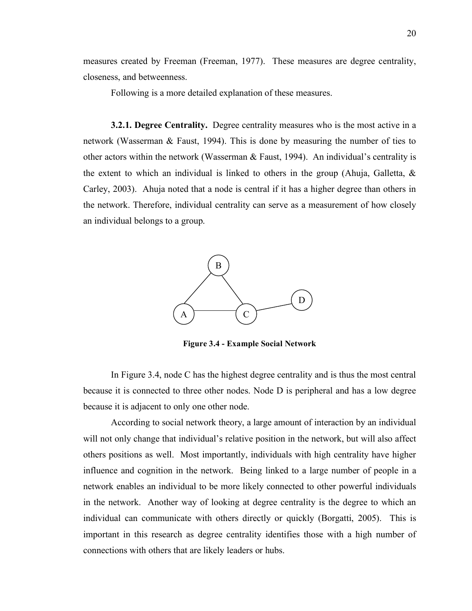measures created by Freeman (Freeman, 1977). These measures are degree centrality, closeness, and betweenness.

Following is a more detailed explanation of these measures.

**3.2.1. Degree Centrality.** Degree centrality measures who is the most active in a network (Wasserman & Faust, 1994). This is done by measuring the number of ties to other actors within the network (Wasserman & Faust, 1994). An individual's centrality is the extent to which an individual is linked to others in the group (Ahuja, Galletta,  $\&$ Carley, 2003). Ahuja noted that a node is central if it has a higher degree than others in the network. Therefore, individual centrality can serve as a measurement of how closely an individual belongs to a group.



**Figure 3.4 - Example Social Network**

In Figure 3.4, node C has the highest degree centrality and is thus the most central because it is connected to three other nodes. Node D is peripheral and has a low degree because it is adjacent to only one other node.

According to social network theory, a large amount of interaction by an individual will not only change that individual's relative position in the network, but will also affect others positions as well. Most importantly, individuals with high centrality have higher influence and cognition in the network. Being linked to a large number of people in a network enables an individual to be more likely connected to other powerful individuals in the network. Another way of looking at degree centrality is the degree to which an individual can communicate with others directly or quickly (Borgatti, 2005). This is important in this research as degree centrality identifies those with a high number of connections with others that are likely leaders or hubs.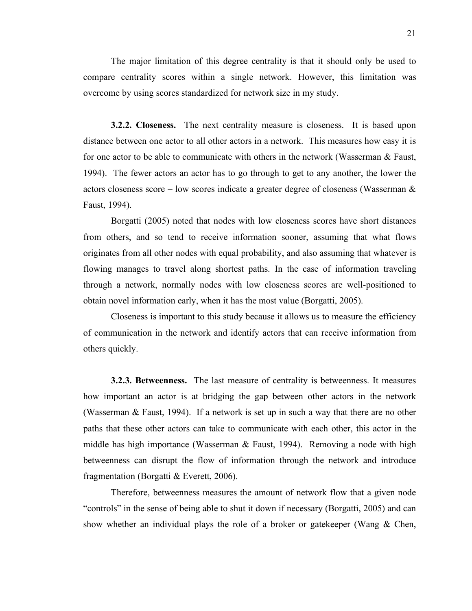The major limitation of this degree centrality is that it should only be used to compare centrality scores within a single network. However, this limitation was overcome by using scores standardized for network size in my study.

**3.2.2. Closeness.** The next centrality measure is closeness. It is based upon distance between one actor to all other actors in a network. This measures how easy it is for one actor to be able to communicate with others in the network (Wasserman & Faust, 1994). The fewer actors an actor has to go through to get to any another, the lower the actors closeness score – low scores indicate a greater degree of closeness (Wasserman  $\&$ Faust, 1994).

Borgatti (2005) noted that nodes with low closeness scores have short distances from others, and so tend to receive information sooner, assuming that what flows originates from all other nodes with equal probability, and also assuming that whatever is flowing manages to travel along shortest paths. In the case of information traveling through a network, normally nodes with low closeness scores are well-positioned to obtain novel information early, when it has the most value (Borgatti, 2005).

Closeness is important to this study because it allows us to measure the efficiency of communication in the network and identify actors that can receive information from others quickly.

**3.2.3. Betweenness.** The last measure of centrality is betweenness. It measures how important an actor is at bridging the gap between other actors in the network (Wasserman & Faust, 1994). If a network is set up in such a way that there are no other paths that these other actors can take to communicate with each other, this actor in the middle has high importance (Wasserman  $& Faust, 1994$ ). Removing a node with high betweenness can disrupt the flow of information through the network and introduce fragmentation (Borgatti & Everett, 2006).

Therefore, betweenness measures the amount of network flow that a given node "controls" in the sense of being able to shut it down if necessary (Borgatti, 2005) and can show whether an individual plays the role of a broker or gatekeeper (Wang & Chen,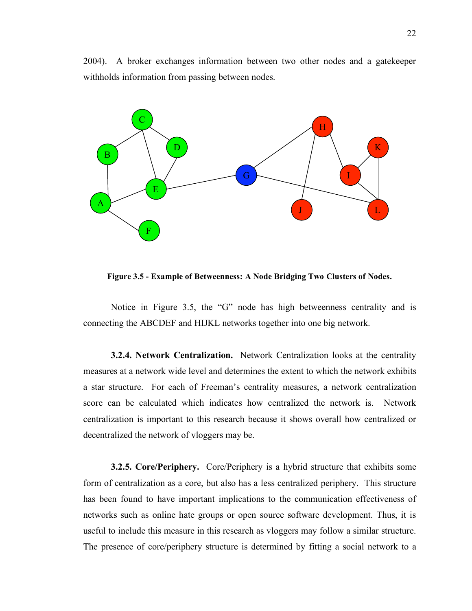2004). A broker exchanges information between two other nodes and a gatekeeper withholds information from passing between nodes.



**Figure 3.5 - Example of Betweenness: A Node Bridging Two Clusters of Nodes.**

Notice in Figure 3.5, the "G" node has high betweenness centrality and is connecting the ABCDEF and HIJKL networks together into one big network.

**3.2.4. Network Centralization.** Network Centralization looks at the centrality measures at a network wide level and determines the extent to which the network exhibits a star structure. For each of Freeman's centrality measures, a network centralization score can be calculated which indicates how centralized the network is. Network centralization is important to this research because it shows overall how centralized or decentralized the network of vloggers may be.

**3.2.5. Core/Periphery.** Core/Periphery is a hybrid structure that exhibits some form of centralization as a core, but also has a less centralized periphery. This structure has been found to have important implications to the communication effectiveness of networks such as online hate groups or open source software development. Thus, it is useful to include this measure in this research as vloggers may follow a similar structure. The presence of core/periphery structure is determined by fitting a social network to a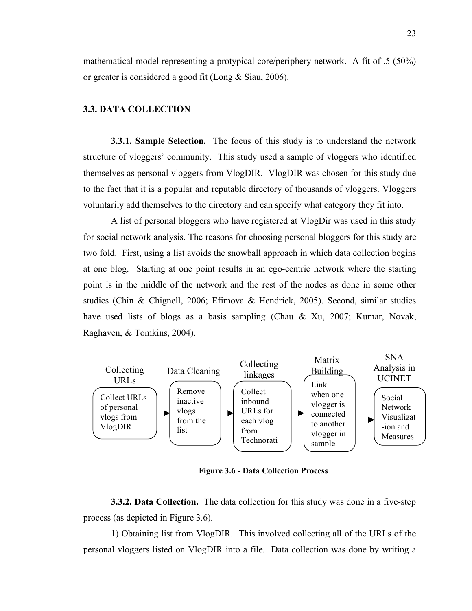mathematical model representing a protypical core/periphery network. A fit of .5 (50%) or greater is considered a good fit (Long & Siau, 2006).

#### **3.3. DATA COLLECTION**

**3.3.1. Sample Selection.** The focus of this study is to understand the network structure of vloggers' community. This study used a sample of vloggers who identified themselves as personal vloggers from VlogDIR. VlogDIR was chosen for this study due to the fact that it is a popular and reputable directory of thousands of vloggers. Vloggers voluntarily add themselves to the directory and can specify what category they fit into.

A list of personal bloggers who have registered at VlogDir was used in this study for social network analysis. The reasons for choosing personal bloggers for this study are two fold. First, using a list avoids the snowball approach in which data collection begins at one blog. Starting at one point results in an ego-centric network where the starting point is in the middle of the network and the rest of the nodes as done in some other studies (Chin & Chignell, 2006; Efimova & Hendrick, 2005). Second, similar studies have used lists of blogs as a basis sampling (Chau & Xu, 2007; Kumar, Novak, Raghaven, & Tomkins, 2004).



**Figure 3.6 - Data Collection Process**

**3.3.2. Data Collection.** The data collection for this study was done in a five-step process (as depicted in Figure 3.6).

1) Obtaining list from VlogDIR. This involved collecting all of the URLs of the personal vloggers listed on VlogDIR into a file. Data collection was done by writing a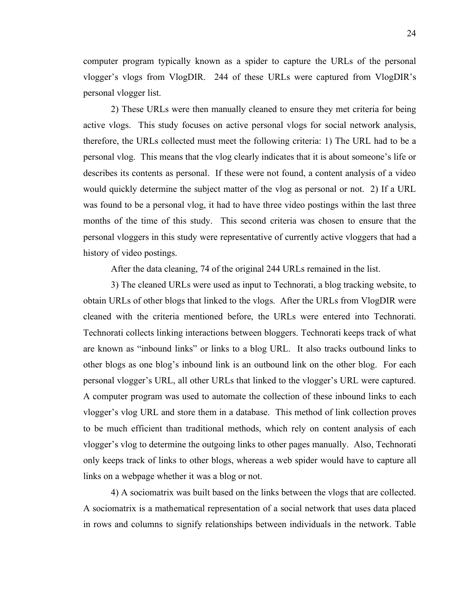computer program typically known as a spider to capture the URLs of the personal vlogger's vlogs from VlogDIR. 244 of these URLs were captured from VlogDIR's personal vlogger list.

2) These URLs were then manually cleaned to ensure they met criteria for being active vlogs. This study focuses on active personal vlogs for social network analysis, therefore, the URLs collected must meet the following criteria: 1) The URL had to be a personal vlog. This means that the vlog clearly indicates that it is about someone's life or describes its contents as personal. If these were not found, a content analysis of a video would quickly determine the subject matter of the vlog as personal or not. 2) If a URL was found to be a personal vlog, it had to have three video postings within the last three months of the time of this study. This second criteria was chosen to ensure that the personal vloggers in this study were representative of currently active vloggers that had a history of video postings.

After the data cleaning, 74 of the original 244 URLs remained in the list.

3) The cleaned URLs were used as input to Technorati, a blog tracking website, to obtain URLs of other blogs that linked to the vlogs. After the URLs from VlogDIR were cleaned with the criteria mentioned before, the URLs were entered into Technorati. Technorati collects linking interactions between bloggers. Technorati keeps track of what are known as "inbound links" or links to a blog URL. It also tracks outbound links to other blogs as one blog's inbound link is an outbound link on the other blog. For each personal vlogger's URL, all other URLs that linked to the vlogger's URL were captured. A computer program was used to automate the collection of these inbound links to each vlogger's vlog URL and store them in a database. This method of link collection proves to be much efficient than traditional methods, which rely on content analysis of each vlogger's vlog to determine the outgoing links to other pages manually. Also, Technorati only keeps track of links to other blogs, whereas a web spider would have to capture all links on a webpage whether it was a blog or not.

4) A sociomatrix was built based on the links between the vlogs that are collected. A sociomatrix is a mathematical representation of a social network that uses data placed in rows and columns to signify relationships between individuals in the network. Table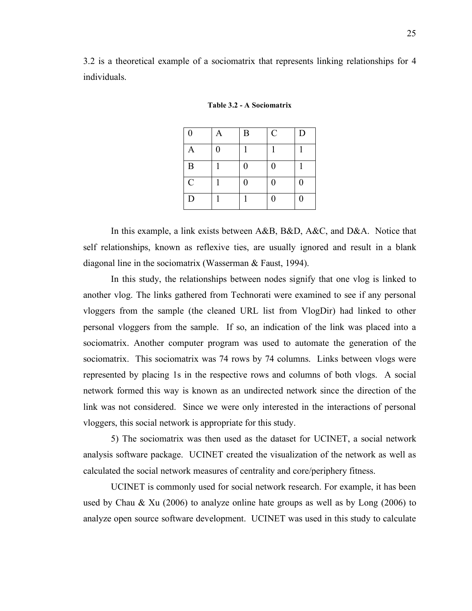3.2 is a theoretical example of a sociomatrix that represents linking relationships for 4 individuals.

| $\boldsymbol{0}$ | A                | $\mathbf{B}$     | $\mathcal{C}$    | D                |
|------------------|------------------|------------------|------------------|------------------|
| A                | $\boldsymbol{0}$ |                  |                  |                  |
| B                |                  | $\overline{0}$   | $\boldsymbol{0}$ |                  |
| $\mathbf C$      |                  | $\boldsymbol{0}$ | $\boldsymbol{0}$ | $\boldsymbol{0}$ |
| D                |                  |                  | $\overline{0}$   | $\boldsymbol{0}$ |

**Table 3.2 - A Sociomatrix**

In this example, a link exists between A&B, B&D, A&C, and D&A. Notice that self relationships, known as reflexive ties, are usually ignored and result in a blank diagonal line in the sociomatrix (Wasserman & Faust, 1994).

In this study, the relationships between nodes signify that one vlog is linked to another vlog. The links gathered from Technorati were examined to see if any personal vloggers from the sample (the cleaned URL list from VlogDir) had linked to other personal vloggers from the sample. If so, an indication of the link was placed into a sociomatrix. Another computer program was used to automate the generation of the sociomatrix. This sociomatrix was 74 rows by 74 columns. Links between vlogs were represented by placing 1s in the respective rows and columns of both vlogs. A social network formed this way is known as an undirected network since the direction of the link was not considered. Since we were only interested in the interactions of personal vloggers, this social network is appropriate for this study.

5) The sociomatrix was then used as the dataset for UCINET, a social network analysis software package. UCINET created the visualization of the network as well as calculated the social network measures of centrality and core/periphery fitness.

UCINET is commonly used for social network research. For example, it has been used by Chau & Xu (2006) to analyze online hate groups as well as by Long (2006) to analyze open source software development. UCINET was used in this study to calculate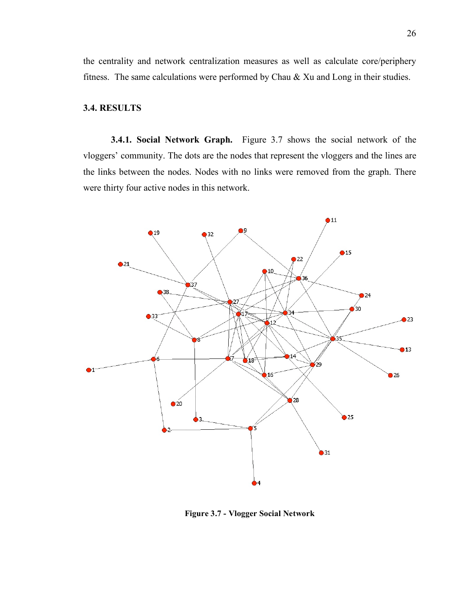the centrality and network centralization measures as well as calculate core/periphery fitness. The same calculations were performed by Chau & Xu and Long in their studies.

### **3.4. RESULTS**

**3.4.1. Social Network Graph.** Figure 3.7 shows the social network of the vloggers' community. The dots are the nodes that represent the vloggers and the lines are the links between the nodes. Nodes with no links were removed from the graph. There were thirty four active nodes in this network.



**Figure 3.7 - Vlogger Social Network**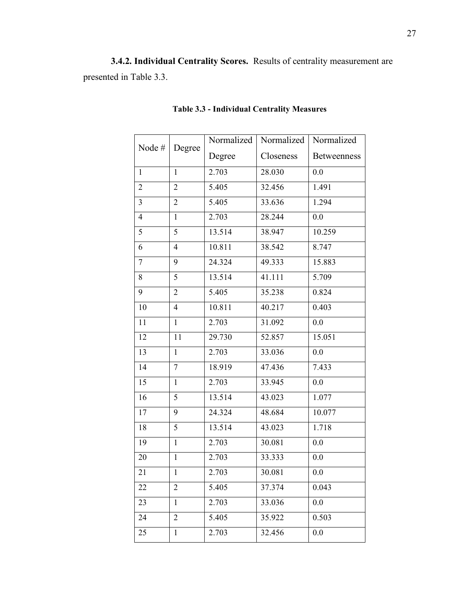**3.4.2. Individual Centrality Scores.** Results of centrality measurement are presented in Table 3.3.

| Node #           |                         | Normalized | Normalized | Normalized  |
|------------------|-------------------------|------------|------------|-------------|
|                  | Degree                  | Degree     | Closeness  | Betweenness |
| 1                | $\mathbf{1}$            | 2.703      | 28.030     | 0.0         |
| $\overline{2}$   | $\mathbf{2}$            | 5.405      | 32.456     | 1.491       |
| 3                | $\overline{2}$          | 5.405      | 33.636     | 1.294       |
| $\overline{4}$   | $\mathbf{1}$            | 2.703      | 28.244     | 0.0         |
| 5                | 5                       | 13.514     | 38.947     | 10.259      |
| 6                | $\overline{4}$          | 10.811     | 38.542     | 8.747       |
| $\boldsymbol{7}$ | 9                       | 24.324     | 49.333     | 15.883      |
| 8                | 5                       | 13.514     | 41.111     | 5.709       |
| 9                | $\overline{2}$          | 5.405      | 35.238     | 0.824       |
| 10               | $\overline{4}$          | 10.811     | 40.217     | 0.403       |
| 11               | $\mathbf{1}$            | 2.703      | 31.092     | 0.0         |
| 12               | 11                      | 29.730     | 52.857     | 15.051      |
| 13               | $\mathbf{1}$            | 2.703      | 33.036     | 0.0         |
| 14               | $\tau$                  | 18.919     | 47.436     | 7.433       |
| 15               | $\mathbf{1}$            | 2.703      | 33.945     | 0.0         |
| 16               | 5                       | 13.514     | 43.023     | 1.077       |
| 17               | 9                       | 24.324     | 48.684     | 10.077      |
| 18               | 5                       | 13.514     | 43.023     | 1.718       |
| 19               | $\mathbf{1}$            | 2.703      | 30.081     | 0.0         |
| 20               | $\mathbf{1}$            | 2.703      | 33.333     | 0.0         |
| 21               | $\mathbf{1}$            | 2.703      | 30.081     | 0.0         |
| 22               | $\overline{\mathbf{c}}$ | 5.405      | 37.374     | 0.043       |
| 23               | $\mathbf{1}$            | 2.703      | 33.036     | 0.0         |
| 24               | $\mathbf{2}$            | 5.405      | 35.922     | 0.503       |
| 25               | $\mathbf{1}$            | 2.703      | 32.456     | 0.0         |

# **Table 3.3 - Individual Centrality Measures**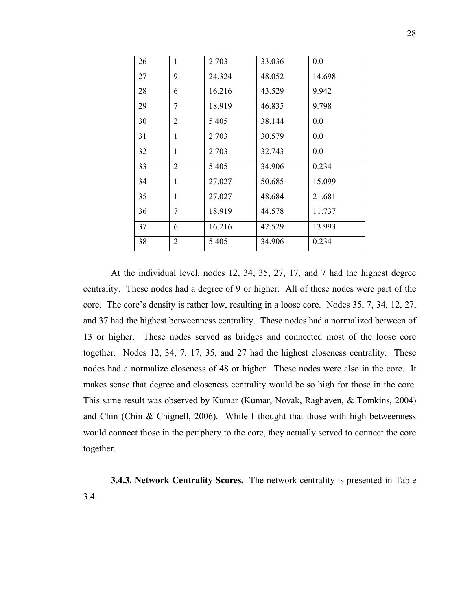| 26 | $\mathbf{1}$   | 2.703  | 33.036 | 0.0    |
|----|----------------|--------|--------|--------|
| 27 | 9              | 24.324 | 48.052 | 14.698 |
| 28 | 6              | 16.216 | 43.529 | 9.942  |
| 29 | $\tau$         | 18.919 | 46.835 | 9.798  |
| 30 | $\overline{2}$ | 5.405  | 38.144 | 0.0    |
| 31 | $\mathbf{1}$   | 2.703  | 30.579 | 0.0    |
| 32 | $\mathbf{1}$   | 2.703  | 32.743 | 0.0    |
| 33 | $\overline{2}$ | 5.405  | 34.906 | 0.234  |
| 34 | $\mathbf{1}$   | 27.027 | 50.685 | 15.099 |
| 35 | 1              | 27.027 | 48.684 | 21.681 |
| 36 | $\tau$         | 18.919 | 44.578 | 11.737 |
| 37 | 6              | 16.216 | 42.529 | 13.993 |
| 38 | $\overline{2}$ | 5.405  | 34.906 | 0.234  |

At the individual level, nodes 12, 34, 35, 27, 17, and 7 had the highest degree centrality. These nodes had a degree of 9 or higher. All of these nodes were part of the core. The core's density is rather low, resulting in a loose core. Nodes 35, 7, 34, 12, 27, and 37 had the highest betweenness centrality. These nodes had a normalized between of 13 or higher. These nodes served as bridges and connected most of the loose core together. Nodes 12, 34, 7, 17, 35, and 27 had the highest closeness centrality. These nodes had a normalize closeness of 48 or higher. These nodes were also in the core. It makes sense that degree and closeness centrality would be so high for those in the core. This same result was observed by Kumar (Kumar, Novak, Raghaven, & Tomkins, 2004) and Chin (Chin & Chignell, 2006). While I thought that those with high betweenness would connect those in the periphery to the core, they actually served to connect the core together.

**3.4.3. Network Centrality Scores.** The network centrality is presented in Table 3.4.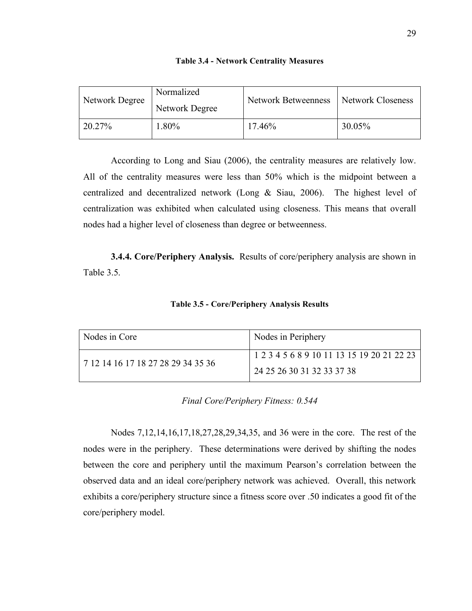| <b>Table 3.4 - Network Centrality Measures</b> |  |  |
|------------------------------------------------|--|--|
|                                                |  |  |

| Network Degree | Normalized<br>Network Degree | <b>Network Betweenness</b> | Network Closeness |
|----------------|------------------------------|----------------------------|-------------------|
| 20.27%         | 1.80%                        | 17.46%                     | 30.05%            |

According to Long and Siau (2006), the centrality measures are relatively low. All of the centrality measures were less than 50% which is the midpoint between a centralized and decentralized network (Long & Siau, 2006). The highest level of centralization was exhibited when calculated using closeness. This means that overall nodes had a higher level of closeness than degree or betweenness.

**3.4.4. Core/Periphery Analysis.** Results of core/periphery analysis are shown in Table 3.5.

| Nodes in Core                      | Nodes in Periphery                         |
|------------------------------------|--------------------------------------------|
| 7 12 14 16 17 18 27 28 29 34 35 36 | 1 2 3 4 5 6 8 9 10 11 13 15 19 20 21 22 23 |
|                                    | 24 25 26 30 31 32 33 37 38                 |

|  |  | Table 3.5 - Core/Periphery Analysis Results |  |  |
|--|--|---------------------------------------------|--|--|
|--|--|---------------------------------------------|--|--|

*Final Core/Periphery Fitness: 0.544*

Nodes 7,12,14,16,17,18,27,28,29,34,35, and 36 were in the core. The rest of the nodes were in the periphery. These determinations were derived by shifting the nodes between the core and periphery until the maximum Pearson's correlation between the observed data and an ideal core/periphery network was achieved. Overall, this network exhibits a core/periphery structure since a fitness score over .50 indicates a good fit of the core/periphery model.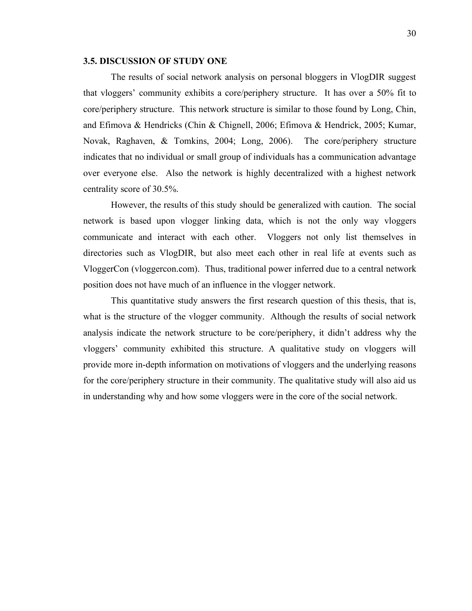### **3.5. DISCUSSION OF STUDY ONE**

The results of social network analysis on personal bloggers in VlogDIR suggest that vloggers' community exhibits a core/periphery structure. It has over a 50% fit to core/periphery structure. This network structure is similar to those found by Long, Chin, and Efimova & Hendricks (Chin & Chignell, 2006; Efimova & Hendrick, 2005; Kumar, Novak, Raghaven, & Tomkins, 2004; Long, 2006). The core/periphery structure indicates that no individual or small group of individuals has a communication advantage over everyone else. Also the network is highly decentralized with a highest network centrality score of 30.5%.

However, the results of this study should be generalized with caution. The social network is based upon vlogger linking data, which is not the only way vloggers communicate and interact with each other. Vloggers not only list themselves in directories such as VlogDIR, but also meet each other in real life at events such as VloggerCon (vloggercon.com). Thus, traditional power inferred due to a central network position does not have much of an influence in the vlogger network.

This quantitative study answers the first research question of this thesis, that is, what is the structure of the vlogger community. Although the results of social network analysis indicate the network structure to be core/periphery, it didn't address why the vloggers' community exhibited this structure. A qualitative study on vloggers will provide more in-depth information on motivations of vloggers and the underlying reasons for the core/periphery structure in their community. The qualitative study will also aid us in understanding why and how some vloggers were in the core of the social network.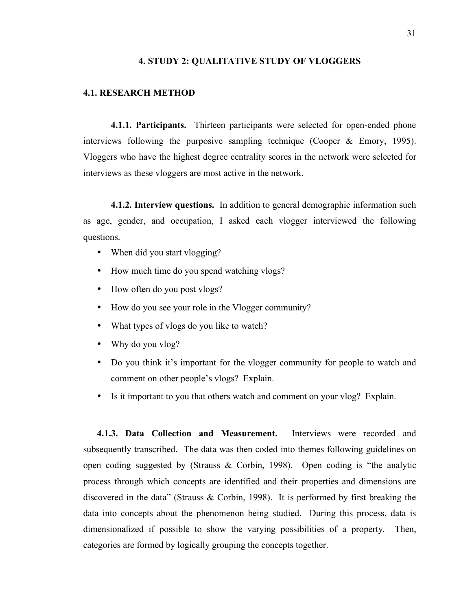### **4. STUDY 2: QUALITATIVE STUDY OF VLOGGERS**

### **4.1. RESEARCH METHOD**

**4.1.1. Participants.** Thirteen participants were selected for open-ended phone interviews following the purposive sampling technique (Cooper & Emory, 1995). Vloggers who have the highest degree centrality scores in the network were selected for interviews as these vloggers are most active in the network.

**4.1.2. Interview questions.** In addition to general demographic information such as age, gender, and occupation, I asked each vlogger interviewed the following questions.

- When did you start vlogging?
- How much time do you spend watching vlogs?
- How often do you post vlogs?
- How do you see your role in the Vlogger community?
- What types of vlogs do you like to watch?
- Why do you vlog?
- Do you think it's important for the vlogger community for people to watch and comment on other people's vlogs? Explain.
- Is it important to you that others watch and comment on your vlog? Explain.

**4.1.3. Data Collection and Measurement.** Interviews were recorded and subsequently transcribed. The data was then coded into themes following guidelines on open coding suggested by (Strauss & Corbin, 1998). Open coding is "the analytic process through which concepts are identified and their properties and dimensions are discovered in the data" (Strauss & Corbin, 1998). It is performed by first breaking the data into concepts about the phenomenon being studied. During this process, data is dimensionalized if possible to show the varying possibilities of a property. Then, categories are formed by logically grouping the concepts together.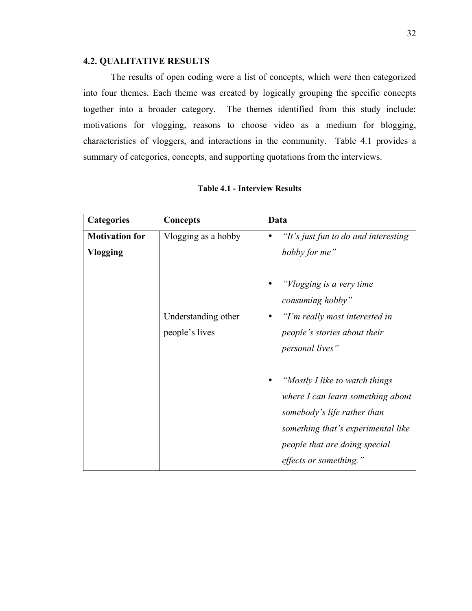### **4.2. QUALITATIVE RESULTS**

The results of open coding were a list of concepts, which were then categorized into four themes. Each theme was created by logically grouping the specific concepts together into a broader category. The themes identified from this study include: motivations for vlogging, reasons to choose video as a medium for blogging, characteristics of vloggers, and interactions in the community. Table 4.1 provides a summary of categories, concepts, and supporting quotations from the interviews.

| <b>Categories</b>     | <b>Concepts</b>     | Data                                                                                                                                                                                                 |
|-----------------------|---------------------|------------------------------------------------------------------------------------------------------------------------------------------------------------------------------------------------------|
| <b>Motivation for</b> | Vlogging as a hobby | "It's just fun to do and interesting"<br>٠                                                                                                                                                           |
| <b>Vlogging</b>       |                     | hobby for me"                                                                                                                                                                                        |
|                       |                     | "Vlogging is a very time"<br>consuming hobby"                                                                                                                                                        |
|                       | Understanding other | "I'm really most interested in<br>٠                                                                                                                                                                  |
|                       | people's lives      | <i>people's stories about their</i>                                                                                                                                                                  |
|                       |                     | <i>personal lives</i> "                                                                                                                                                                              |
|                       |                     | "Mostly I like to watch things"<br>where I can learn something about<br>somebody's life rather than<br>something that's experimental like<br>people that are doing special<br>effects or something." |

| <b>Table 4.1 - Interview Results</b> |  |  |
|--------------------------------------|--|--|
|--------------------------------------|--|--|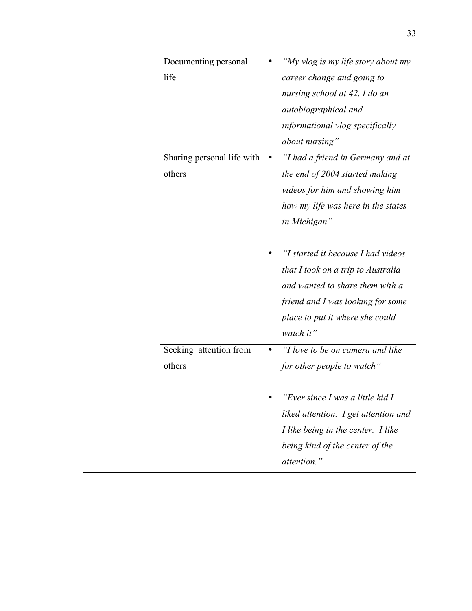| Documenting personal       | "My vlog is my life story about my   |
|----------------------------|--------------------------------------|
| life                       | career change and going to           |
|                            | nursing school at 42. I do an        |
|                            | autobiographical and                 |
|                            | informational vlog specifically      |
|                            | about nursing"                       |
| Sharing personal life with | "I had a friend in Germany and at    |
| others                     | the end of 2004 started making       |
|                            | videos for him and showing him       |
|                            | how my life was here in the states   |
|                            | in Michigan"                         |
|                            |                                      |
|                            | "I started it because I had videos   |
|                            | that I took on a trip to Australia   |
|                            | and wanted to share them with a      |
|                            | friend and I was looking for some    |
|                            | place to put it where she could      |
|                            | watch it"                            |
| Seeking attention from     | "I love to be on camera and like     |
| others                     | for other people to watch"           |
|                            |                                      |
|                            | "Ever since I was a little kid I     |
|                            | liked attention. I get attention and |
|                            | I like being in the center. I like   |
|                            | being kind of the center of the      |
|                            | attention."                          |
|                            |                                      |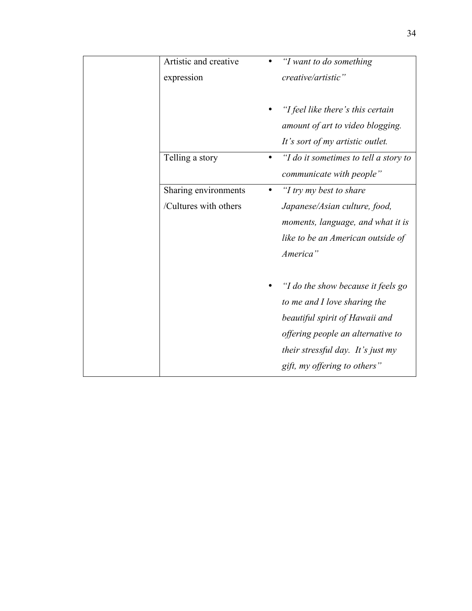| Artistic and creative |           | "I want to do something                  |
|-----------------------|-----------|------------------------------------------|
| expression            |           | creative/artistic"                       |
|                       |           |                                          |
|                       |           | "I feel like there's this certain        |
|                       |           | amount of art to video blogging.         |
|                       |           | It's sort of my artistic outlet.         |
| Telling a story       |           | "I do it sometimes to tell a story to    |
|                       |           | communicate with people"                 |
| Sharing environments  | $\bullet$ | "I try my best to share                  |
| /Cultures with others |           | Japanese/Asian culture, food,            |
|                       |           | moments, language, and what it is        |
|                       |           | like to be an American outside of        |
|                       |           | America"                                 |
|                       |           |                                          |
|                       |           | "I do the show because it feels go       |
|                       |           | to me and I love sharing the             |
|                       |           | beautiful spirit of Hawaii and           |
|                       |           | offering people an alternative to        |
|                       |           | <i>their stressful day. It's just my</i> |
|                       |           | gift, my offering to others"             |
|                       |           |                                          |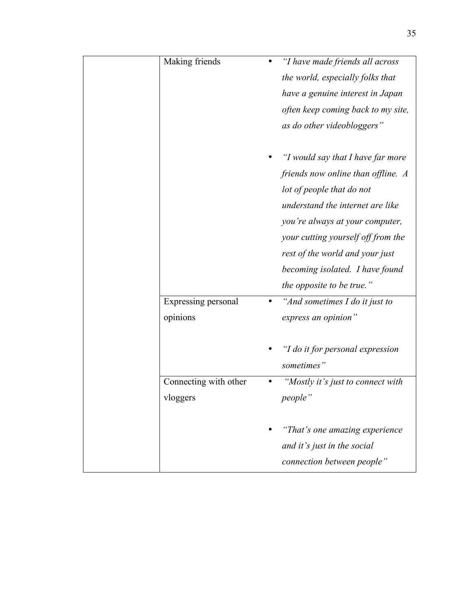| Making friends        | "I have made friends all across    |
|-----------------------|------------------------------------|
|                       | the world, especially folks that   |
|                       | have a genuine interest in Japan   |
|                       | often keep coming back to my site, |
|                       | as do other videobloggers"         |
|                       |                                    |
|                       | "I would say that I have far more  |
|                       | friends now online than offline. A |
|                       | lot of people that do not          |
|                       | understand the internet are like   |
|                       | you're always at your computer,    |
|                       | your cutting yourself off from the |
|                       | rest of the world and your just    |
|                       | becoming isolated. I have found    |
|                       | <i>the opposite to be true.</i> "  |
| Expressing personal   | "And sometimes $I$ do it just to   |
| opinions              | express an opinion"                |
|                       |                                    |
|                       | "I do it for personal expression   |
|                       | sometimes"                         |
| Connecting with other | "Mostly it's just to connect with  |
| vloggers              | people"                            |
|                       |                                    |
|                       | "That's one amazing experience     |
|                       | and it's just in the social        |
|                       | connection between people"         |
|                       |                                    |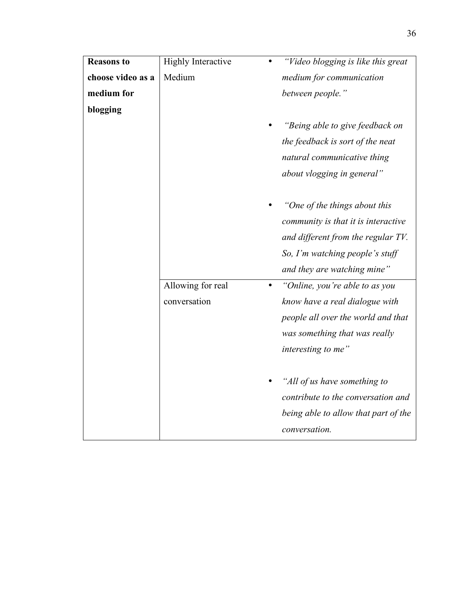| <b>Reasons to</b> | <b>Highly Interactive</b> | "Video blogging is like this great          |
|-------------------|---------------------------|---------------------------------------------|
| choose video as a | Medium                    | medium for communication                    |
| medium for        |                           | between people."                            |
| blogging          |                           |                                             |
|                   |                           | "Being able to give feedback on             |
|                   |                           | the feedback is sort of the neat            |
|                   |                           | natural communicative thing                 |
|                   |                           | about vlogging in general"                  |
|                   |                           |                                             |
|                   |                           | "One of the things about this               |
|                   |                           | community is that it is interactive         |
|                   |                           | and different from the regular TV.          |
|                   |                           | So, I'm watching people's stuff             |
|                   |                           | and they are watching mine"                 |
|                   | Allowing for real         | "Online, you're able to as you<br>$\bullet$ |
|                   | conversation              | know have a real dialogue with              |
|                   |                           | people all over the world and that          |
|                   |                           | was something that was really               |
|                   |                           | interesting to me"                          |
|                   |                           |                                             |
|                   |                           | "All of us have something to                |
|                   |                           | contribute to the conversation and          |
|                   |                           | being able to allow that part of the        |
|                   |                           | conversation.                               |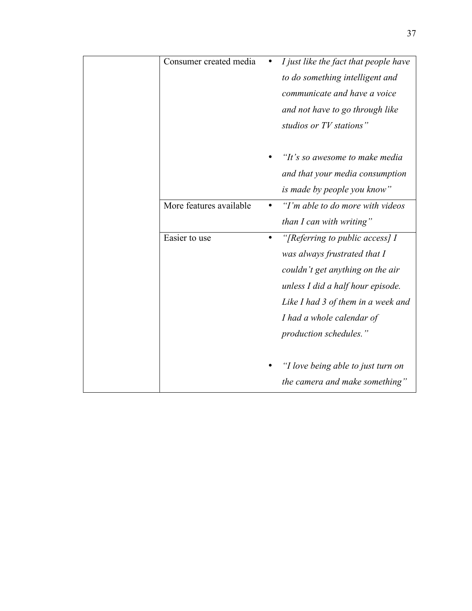| Consumer created media  |           | I just like the fact that people have |
|-------------------------|-----------|---------------------------------------|
|                         |           | to do something intelligent and       |
|                         |           | communicate and have a voice          |
|                         |           | and not have to go through like       |
|                         |           | studios or TV stations"               |
|                         |           |                                       |
|                         |           | "It's so awesome to make media        |
|                         |           | and that your media consumption       |
|                         |           | is made by people you know"           |
| More features available |           | "I'm able to do more with videos"     |
|                         |           | than I can with writing"              |
| Easier to use           | $\bullet$ | "[Referring to public access] I       |
|                         |           | was always frustrated that I          |
|                         |           | couldn't get anything on the air      |
|                         |           | unless I did a half hour episode.     |
|                         |           | Like I had 3 of them in a week and    |
|                         |           | I had a whole calendar of             |
|                         |           | production schedules."                |
|                         |           |                                       |
|                         |           | "I love being able to just turn on    |
|                         |           | the camera and make something"        |
|                         |           |                                       |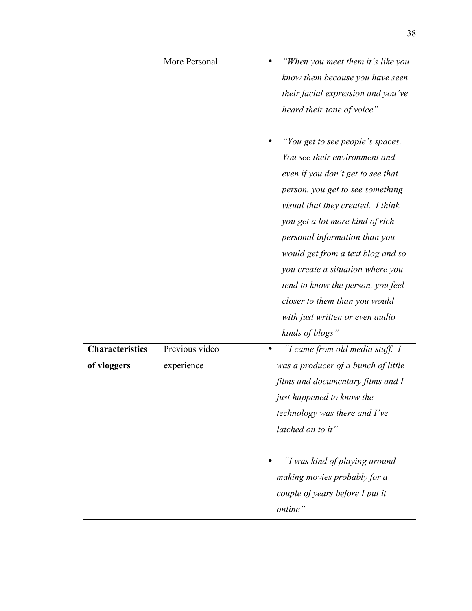|                        | More Personal  | "When you meet them it's like you    |
|------------------------|----------------|--------------------------------------|
|                        |                | know them because you have seen      |
|                        |                | their facial expression and you've   |
|                        |                | heard their tone of voice"           |
|                        |                |                                      |
|                        |                | "You get to see people's spaces.     |
|                        |                | You see their environment and        |
|                        |                | even if you don't get to see that    |
|                        |                | person, you get to see something     |
|                        |                | visual that they created. I think    |
|                        |                | you get a lot more kind of rich      |
|                        |                | personal information than you        |
|                        |                | would get from a text blog and so    |
|                        |                | you create a situation where you     |
|                        |                | tend to know the person, you feel    |
|                        |                | closer to them than you would        |
|                        |                | with just written or even audio      |
|                        |                | kinds of blogs"                      |
| <b>Characteristics</b> | Previous video | "I came from old media stuff. I      |
| of vloggers            | experience     | was a producer of a bunch of little  |
|                        |                | films and documentary films and I    |
|                        |                | just happened to know the            |
|                        |                | <i>technology was there and I've</i> |
|                        |                | latched on to it"                    |
|                        |                | "I was kind of playing around        |
|                        |                | making movies probably for a         |
|                        |                | couple of years before I put it      |
|                        |                | online"                              |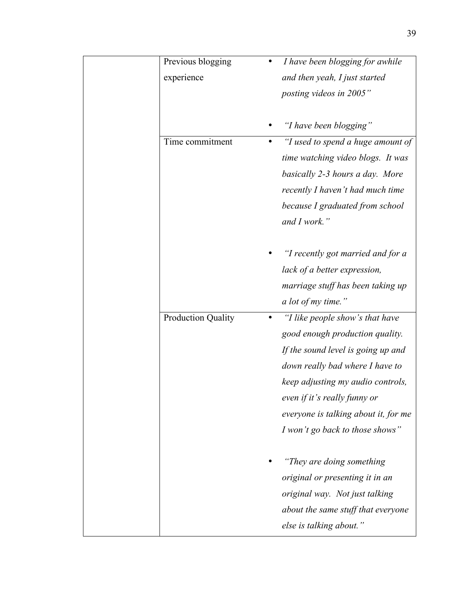| Previous blogging<br>experience | I have been blogging for awhile<br>and then yeah, I just started<br>posting videos in 2005"                                                                                                                                                                                                      |
|---------------------------------|--------------------------------------------------------------------------------------------------------------------------------------------------------------------------------------------------------------------------------------------------------------------------------------------------|
|                                 | "I have been blogging"                                                                                                                                                                                                                                                                           |
| Time commitment                 | "I used to spend a huge amount of<br>٠<br>time watching video blogs. It was<br>basically 2-3 hours a day. More<br>recently I haven't had much time<br>because I graduated from school<br>and I work."                                                                                            |
|                                 | "I recently got married and for a<br>lack of a better expression,<br>marriage stuff has been taking up<br>a lot of my time."                                                                                                                                                                     |
| <b>Production Quality</b>       | "I like people show's that have<br>٠<br>good enough production quality.<br>If the sound level is going up and<br>down really bad where I have to<br>keep adjusting my audio controls,<br>even if it's really funny or<br>everyone is talking about it, for me<br>I won't go back to those shows" |
|                                 | "They are doing something"<br>original or presenting it in an<br>original way. Not just talking<br>about the same stuff that everyone<br>else is talking about."                                                                                                                                 |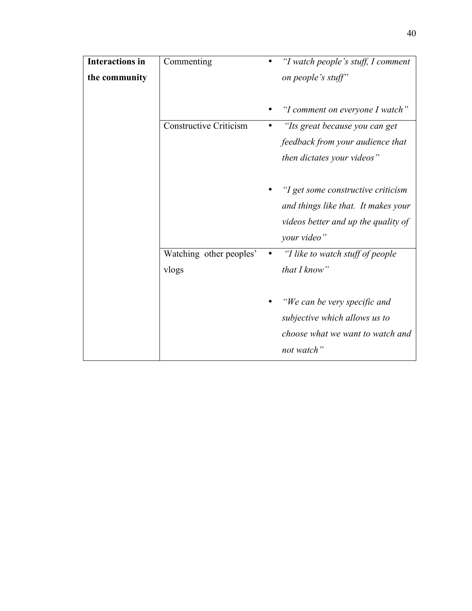| <b>Interactions in</b> | Commenting                    | "I watch people's stuff, I comment            |
|------------------------|-------------------------------|-----------------------------------------------|
| the community          |                               | on people's stuff"                            |
|                        |                               | "I comment on everyone I watch"               |
|                        | <b>Constructive Criticism</b> | "Its great because you can get                |
|                        |                               | feedback from your audience that              |
|                        |                               | then dictates your videos"                    |
|                        |                               | "I get some constructive criticism            |
|                        |                               | and things like that. It makes your           |
|                        |                               | videos better and up the quality of           |
|                        |                               | your video"                                   |
|                        | Watching other peoples'       | "I like to watch stuff of people<br>$\bullet$ |
|                        | vlogs                         | that I know"                                  |
|                        |                               | "We can be very specific and                  |
|                        |                               | subjective which allows us to                 |
|                        |                               | choose what we want to watch and              |
|                        |                               | not watch"                                    |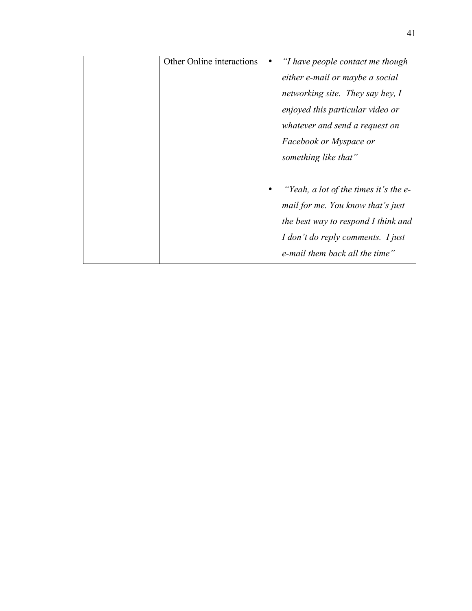| Other Online interactions | "I have people contact me though      |
|---------------------------|---------------------------------------|
|                           | either e-mail or maybe a social       |
|                           | networking site. They say hey, I      |
|                           | enjoyed this particular video or      |
|                           | whatever and send a request on        |
|                           | Facebook or Myspace or                |
|                           | something like that"                  |
|                           |                                       |
|                           | "Yeah, a lot of the times it's the e- |
|                           | mail for me. You know that's just     |
|                           | the best way to respond I think and   |
|                           | I don't do reply comments. I just     |
|                           | e-mail them back all the time"        |
|                           |                                       |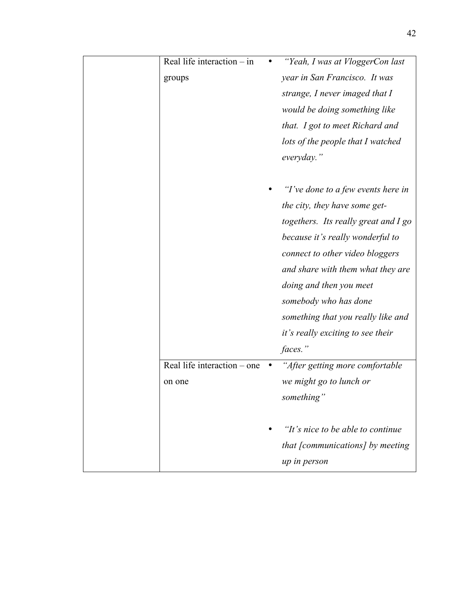| Real life interaction - in  | "Yeah, I was at VloggerCon last      |
|-----------------------------|--------------------------------------|
| groups                      | year in San Francisco. It was        |
|                             | strange, I never imaged that I       |
|                             | would be doing something like        |
|                             | that. I got to meet Richard and      |
|                             | lots of the people that I watched    |
|                             | everyday."                           |
|                             |                                      |
|                             | "I've done to a few events here in   |
|                             | the city, they have some get-        |
|                             | togethers. Its really great and I go |
|                             | because it's really wonderful to     |
|                             | connect to other video bloggers      |
|                             | and share with them what they are    |
|                             | doing and then you meet              |
|                             | somebody who has done                |
|                             | something that you really like and   |
|                             | it's really exciting to see their    |
|                             | faces."                              |
| Real life interaction – one | "After getting more comfortable      |
| on one                      | we might go to lunch or              |
|                             | something"                           |
|                             |                                      |
|                             | "It's nice to be able to continue"   |
|                             | that [communications] by meeting     |
|                             | up in person                         |
|                             |                                      |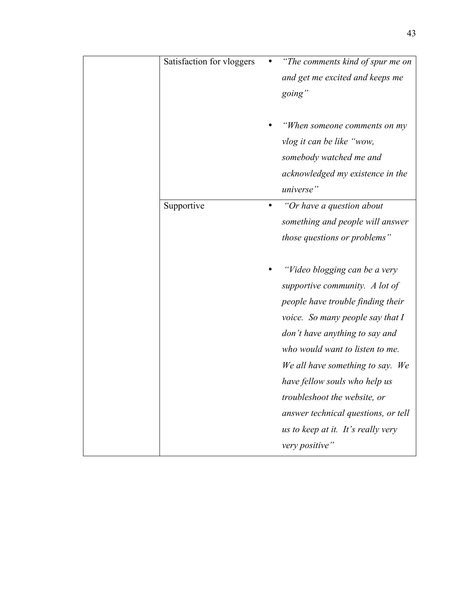| Satisfaction for vloggers | "The comments kind of spur me on<br>and get me excited and keeps me<br>going"<br>"When someone comments on my<br>vlog it can be like "wow,                                                                                                                                                                                                                                                                        |
|---------------------------|-------------------------------------------------------------------------------------------------------------------------------------------------------------------------------------------------------------------------------------------------------------------------------------------------------------------------------------------------------------------------------------------------------------------|
|                           | somebody watched me and<br>acknowledged my existence in the<br>universe"                                                                                                                                                                                                                                                                                                                                          |
| Supportive                | "Or have a question about<br>something and people will answer<br>those questions or problems"                                                                                                                                                                                                                                                                                                                     |
|                           | "Video blogging can be a very<br>supportive community. A lot of<br>people have trouble finding their<br>voice. So many people say that I<br>don't have anything to say and<br>who would want to listen to me.<br>We all have something to say. We<br>have fellow souls who help us<br>troubleshoot the website, or<br>answer technical questions, or tell<br>us to keep at it. It's really very<br>very positive" |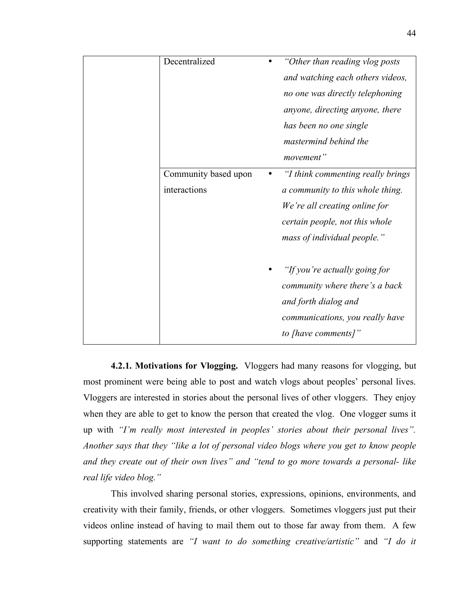| Decentralized        | "Other than reading vlog posts"   |
|----------------------|-----------------------------------|
|                      | and watching each others videos,  |
|                      | no one was directly telephoning   |
|                      | anyone, directing anyone, there   |
|                      | has been no one single            |
|                      | mastermind behind the             |
|                      | movement"                         |
| Community based upon | "I think commenting really brings |
| interactions         | a community to this whole thing.  |
|                      | We're all creating online for     |
|                      | certain people, not this whole    |
|                      | mass of individual people."       |
|                      |                                   |
|                      | "If you're actually going for     |
|                      | community where there's a back    |
|                      | and forth dialog and              |
|                      | communications, you really have   |
|                      | to [have comments]"               |
|                      |                                   |

**4.2.1. Motivations for Vlogging.** Vloggers had many reasons for vlogging, but most prominent were being able to post and watch vlogs about peoples' personal lives. Vloggers are interested in stories about the personal lives of other vloggers. They enjoy when they are able to get to know the person that created the vlog. One vlogger sums it up with *"I'm really most interested in peoples' stories about their personal lives". Another says that they "like a lot of personal video blogs where you get to know people and they create out of their own lives" and "tend to go more towards a personal- like real life video blog."*

This involved sharing personal stories, expressions, opinions, environments, and creativity with their family, friends, or other vloggers. Sometimes vloggers just put their videos online instead of having to mail them out to those far away from them. A few supporting statements are *"I want to do something creative/artistic"* and *"I do it*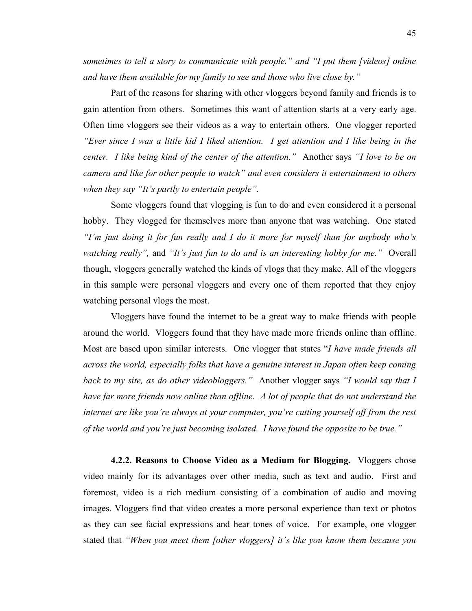*sometimes to tell a story to communicate with people." and "I put them [videos] online and have them available for my family to see and those who live close by."*

Part of the reasons for sharing with other vloggers beyond family and friends is to gain attention from others. Sometimes this want of attention starts at a very early age. Often time vloggers see their videos as a way to entertain others. One vlogger reported *"Ever since I was a little kid I liked attention. I get attention and I like being in the center. I like being kind of the center of the attention."* Another says *"I love to be on camera and like for other people to watch" and even considers it entertainment to others when they say "It's partly to entertain people".*

Some vloggers found that vlogging is fun to do and even considered it a personal hobby. They vlogged for themselves more than anyone that was watching. One stated *"I'm just doing it for fun really and I do it more for myself than for anybody who's watching really",* and *"It's just fun to do and is an interesting hobby for me."* Overall though, vloggers generally watched the kinds of vlogs that they make. All of the vloggers in this sample were personal vloggers and every one of them reported that they enjoy watching personal vlogs the most.

Vloggers have found the internet to be a great way to make friends with people around the world. Vloggers found that they have made more friends online than offline. Most are based upon similar interests. One vlogger that states "*I have made friends all across the world, especially folks that have a genuine interest in Japan often keep coming back to my site, as do other videobloggers."* Another vlogger says *"I would say that I have far more friends now online than offline. A lot of people that do not understand the internet are like you're always at your computer, you're cutting yourself off from the rest of the world and you're just becoming isolated. I have found the opposite to be true."*

**4.2.2. Reasons to Choose Video as a Medium for Blogging.** Vloggers chose video mainly for its advantages over other media, such as text and audio. First and foremost, video is a rich medium consisting of a combination of audio and moving images. Vloggers find that video creates a more personal experience than text or photos as they can see facial expressions and hear tones of voice. For example, one vlogger stated that *"When you meet them [other vloggers] it's like you know them because you*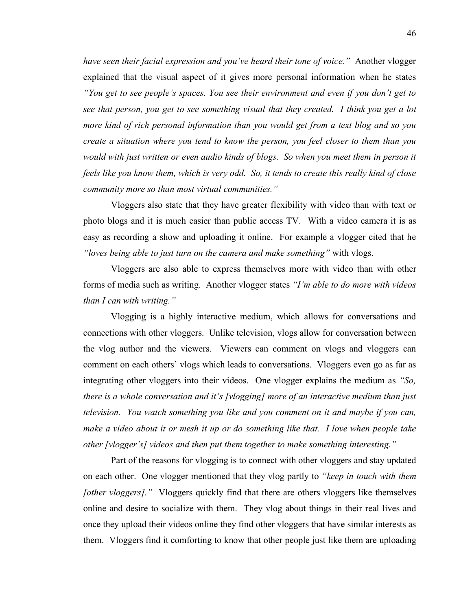*have seen their facial expression and you've heard their tone of voice."* Another vlogger explained that the visual aspect of it gives more personal information when he states *"You get to see people's spaces. You see their environment and even if you don't get to see that person, you get to see something visual that they created. I think you get a lot more kind of rich personal information than you would get from a text blog and so you create a situation where you tend to know the person, you feel closer to them than you would with just written or even audio kinds of blogs. So when you meet them in person it feels like you know them, which is very odd. So, it tends to create this really kind of close community more so than most virtual communities."*

Vloggers also state that they have greater flexibility with video than with text or photo blogs and it is much easier than public access TV. With a video camera it is as easy as recording a show and uploading it online. For example a vlogger cited that he *"loves being able to just turn on the camera and make something"* with vlogs.

Vloggers are also able to express themselves more with video than with other forms of media such as writing. Another vlogger states *"I'm able to do more with videos than I can with writing."*

Vlogging is a highly interactive medium, which allows for conversations and connections with other vloggers. Unlike television, vlogs allow for conversation between the vlog author and the viewers. Viewers can comment on vlogs and vloggers can comment on each others' vlogs which leads to conversations. Vloggers even go as far as integrating other vloggers into their videos. One vlogger explains the medium as *"So, there is a whole conversation and it's [vlogging] more of an interactive medium than just television. You watch something you like and you comment on it and maybe if you can, make a video about it or mesh it up or do something like that. I love when people take other [vlogger's] videos and then put them together to make something interesting."*

Part of the reasons for vlogging is to connect with other vloggers and stay updated on each other. One vlogger mentioned that they vlog partly to *"keep in touch with them [other vloggers].*" Vloggers quickly find that there are others vloggers like themselves online and desire to socialize with them. They vlog about things in their real lives and once they upload their videos online they find other vloggers that have similar interests as them. Vloggers find it comforting to know that other people just like them are uploading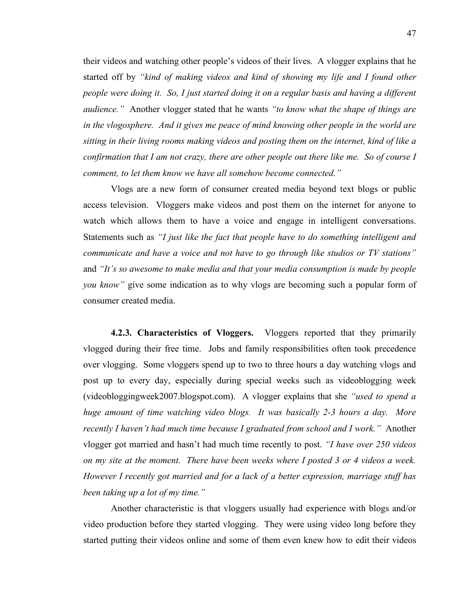their videos and watching other people's videos of their lives. A vlogger explains that he started off by *"kind of making videos and kind of showing my life and I found other people were doing it. So, I just started doing it on a regular basis and having a different audience."* Another vlogger stated that he wants *"to know what the shape of things are in the vlogosphere. And it gives me peace of mind knowing other people in the world are sitting in their living rooms making videos and posting them on the internet, kind of like a confirmation that I am not crazy, there are other people out there like me. So of course I comment, to let them know we have all somehow become connected."*

Vlogs are a new form of consumer created media beyond text blogs or public access television. Vloggers make videos and post them on the internet for anyone to watch which allows them to have a voice and engage in intelligent conversations. Statements such as *"I just like the fact that people have to do something intelligent and communicate and have a voice and not have to go through like studios or TV stations"* and *"It's so awesome to make media and that your media consumption is made by people you know"* give some indication as to why vlogs are becoming such a popular form of consumer created media.

**4.2.3. Characteristics of Vloggers.** Vloggers reported that they primarily vlogged during their free time. Jobs and family responsibilities often took precedence over vlogging. Some vloggers spend up to two to three hours a day watching vlogs and post up to every day, especially during special weeks such as videoblogging week (videobloggingweek2007.blogspot.com). A vlogger explains that she *"used to spend a huge amount of time watching video blogs. It was basically 2-3 hours a day. More recently I haven't had much time because I graduated from school and I work."* Another vlogger got married and hasn't had much time recently to post. *"I have over 250 videos on my site at the moment. There have been weeks where I posted 3 or 4 videos a week. However I recently got married and for a lack of a better expression, marriage stuff has been taking up a lot of my time."*

Another characteristic is that vloggers usually had experience with blogs and/or video production before they started vlogging. They were using video long before they started putting their videos online and some of them even knew how to edit their videos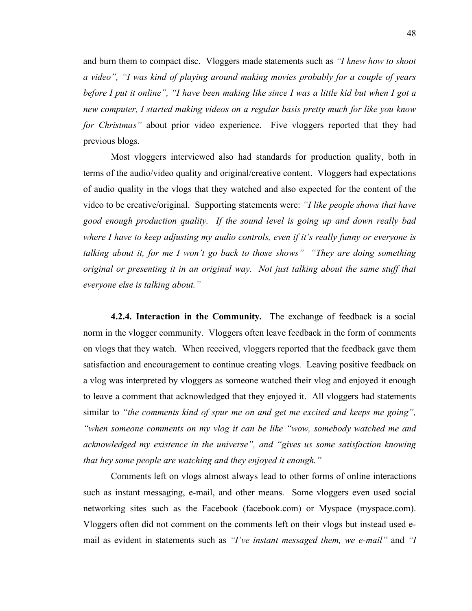and burn them to compact disc. Vloggers made statements such as *"I knew how to shoot a video", "I was kind of playing around making movies probably for a couple of years before I put it online", "I have been making like since I was a little kid but when I got a new computer, I started making videos on a regular basis pretty much for like you know for Christmas"* about prior video experience. Five vloggers reported that they had previous blogs.

Most vloggers interviewed also had standards for production quality, both in terms of the audio/video quality and original/creative content. Vloggers had expectations of audio quality in the vlogs that they watched and also expected for the content of the video to be creative/original. Supporting statements were: *"I like people shows that have good enough production quality. If the sound level is going up and down really bad where I have to keep adjusting my audio controls, even if it's really funny or everyone is talking about it, for me I won't go back to those shows" "They are doing something original or presenting it in an original way. Not just talking about the same stuff that everyone else is talking about."*

**4.2.4. Interaction in the Community.** The exchange of feedback is a social norm in the vlogger community. Vloggers often leave feedback in the form of comments on vlogs that they watch. When received, vloggers reported that the feedback gave them satisfaction and encouragement to continue creating vlogs. Leaving positive feedback on a vlog was interpreted by vloggers as someone watched their vlog and enjoyed it enough to leave a comment that acknowledged that they enjoyed it. All vloggers had statements similar to *"the comments kind of spur me on and get me excited and keeps me going", "when someone comments on my vlog it can be like "wow, somebody watched me and acknowledged my existence in the universe", and "gives us some satisfaction knowing that hey some people are watching and they enjoyed it enough."*

Comments left on vlogs almost always lead to other forms of online interactions such as instant messaging, e-mail, and other means. Some vloggers even used social networking sites such as the Facebook (facebook.com) or Myspace (myspace.com). Vloggers often did not comment on the comments left on their vlogs but instead used email as evident in statements such as *"I've instant messaged them, we e-mail"* and *"I*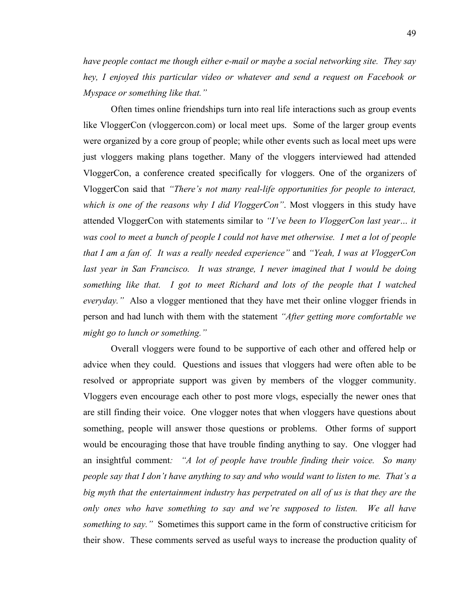*have people contact me though either e-mail or maybe a social networking site. They say hey, I enjoyed this particular video or whatever and send a request on Facebook or Myspace or something like that."*

Often times online friendships turn into real life interactions such as group events like VloggerCon (vloggercon.com) or local meet ups. Some of the larger group events were organized by a core group of people; while other events such as local meet ups were just vloggers making plans together. Many of the vloggers interviewed had attended VloggerCon, a conference created specifically for vloggers. One of the organizers of VloggerCon said that *"There's not many real-life opportunities for people to interact, which is one of the reasons why I did VloggerCon"*. Most vloggers in this study have attended VloggerCon with statements similar to *"I've been to VloggerCon last year… it was cool to meet a bunch of people I could not have met otherwise. I met a lot of people that I am a fan of. It was a really needed experience"* and *"Yeah, I was at VloggerCon last year in San Francisco. It was strange, I never imagined that I would be doing something like that. I got to meet Richard and lots of the people that I watched everyday.*" Also a vlogger mentioned that they have met their online vlogger friends in person and had lunch with them with the statement *"After getting more comfortable we might go to lunch or something."*

Overall vloggers were found to be supportive of each other and offered help or advice when they could. Questions and issues that vloggers had were often able to be resolved or appropriate support was given by members of the vlogger community. Vloggers even encourage each other to post more vlogs, especially the newer ones that are still finding their voice. One vlogger notes that when vloggers have questions about something, people will answer those questions or problems. Other forms of support would be encouraging those that have trouble finding anything to say. One vlogger had an insightful comment*: "A lot of people have trouble finding their voice. So many people say that I don't have anything to say and who would want to listen to me. That's a big myth that the entertainment industry has perpetrated on all of us is that they are the only ones who have something to say and we're supposed to listen. We all have something to say."* Sometimes this support came in the form of constructive criticism for their show. These comments served as useful ways to increase the production quality of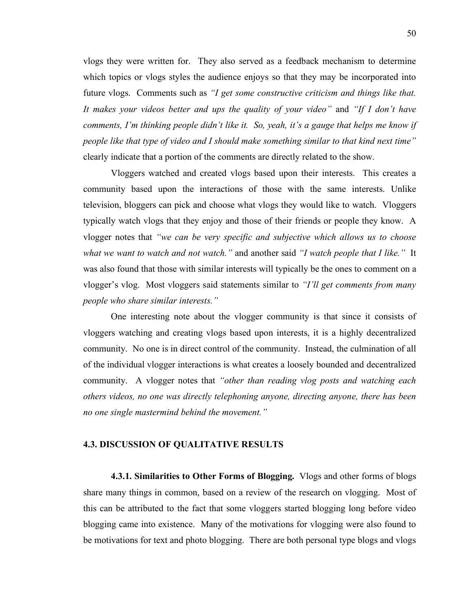vlogs they were written for. They also served as a feedback mechanism to determine which topics or vlogs styles the audience enjoys so that they may be incorporated into future vlogs. Comments such as *"I get some constructive criticism and things like that. It makes your videos better and ups the quality of your video"* and *"If I don't have comments, I'm thinking people didn't like it. So, yeah, it's a gauge that helps me know if people like that type of video and I should make something similar to that kind next time"* clearly indicate that a portion of the comments are directly related to the show.

Vloggers watched and created vlogs based upon their interests. This creates a community based upon the interactions of those with the same interests. Unlike television, bloggers can pick and choose what vlogs they would like to watch. Vloggers typically watch vlogs that they enjoy and those of their friends or people they know. A vlogger notes that *"we can be very specific and subjective which allows us to choose what we want to watch and not watch."* and another said *"I watch people that I like."* It was also found that those with similar interests will typically be the ones to comment on a vlogger's vlog. Most vloggers said statements similar to *"I'll get comments from many people who share similar interests."*

One interesting note about the vlogger community is that since it consists of vloggers watching and creating vlogs based upon interests, it is a highly decentralized community. No one is in direct control of the community. Instead, the culmination of all of the individual vlogger interactions is what creates a loosely bounded and decentralized community. A vlogger notes that *"other than reading vlog posts and watching each others videos, no one was directly telephoning anyone, directing anyone, there has been no one single mastermind behind the movement."*

### **4.3. DISCUSSION OF QUALITATIVE RESULTS**

**4.3.1. Similarities to Other Forms of Blogging.** Vlogs and other forms of blogs share many things in common, based on a review of the research on vlogging. Most of this can be attributed to the fact that some vloggers started blogging long before video blogging came into existence. Many of the motivations for vlogging were also found to be motivations for text and photo blogging. There are both personal type blogs and vlogs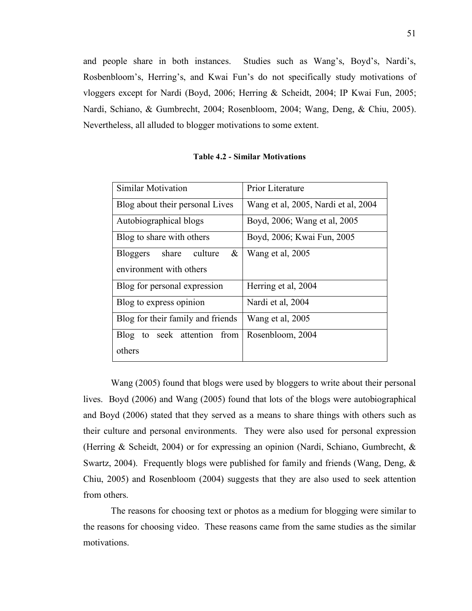and people share in both instances. Studies such as Wang's, Boyd's, Nardi's, Rosbenbloom's, Herring's, and Kwai Fun's do not specifically study motivations of vloggers except for Nardi (Boyd, 2006; Herring & Scheidt, 2004; IP Kwai Fun, 2005; Nardi, Schiano, & Gumbrecht, 2004; Rosenbloom, 2004; Wang, Deng, & Chiu, 2005). Nevertheless, all alluded to blogger motivations to some extent.

| <b>Similar Motivation</b>                | Prior Literature                    |  |
|------------------------------------------|-------------------------------------|--|
| Blog about their personal Lives          | Wang et al, 2005, Nardi et al, 2004 |  |
| Autobiographical blogs                   | Boyd, 2006; Wang et al, 2005        |  |
| Blog to share with others                | Boyd, 2006; Kwai Fun, 2005          |  |
| <b>Bloggers</b><br>share<br>culture<br>& | Wang et al, 2005                    |  |
| environment with others                  |                                     |  |
| Blog for personal expression             | Herring et al, 2004                 |  |
| Blog to express opinion                  | Nardi et al, 2004                   |  |
| Blog for their family and friends        | Wang et al, 2005                    |  |
| Blog to seek attention from              | Rosenbloom, 2004                    |  |
| others                                   |                                     |  |

**Table 4.2 - Similar Motivations**

Wang (2005) found that blogs were used by bloggers to write about their personal lives. Boyd (2006) and Wang (2005) found that lots of the blogs were autobiographical and Boyd (2006) stated that they served as a means to share things with others such as their culture and personal environments. They were also used for personal expression (Herring & Scheidt, 2004) or for expressing an opinion (Nardi, Schiano, Gumbrecht, & Swartz, 2004). Frequently blogs were published for family and friends (Wang, Deng, & Chiu, 2005) and Rosenbloom (2004) suggests that they are also used to seek attention from others.

The reasons for choosing text or photos as a medium for blogging were similar to the reasons for choosing video. These reasons came from the same studies as the similar motivations.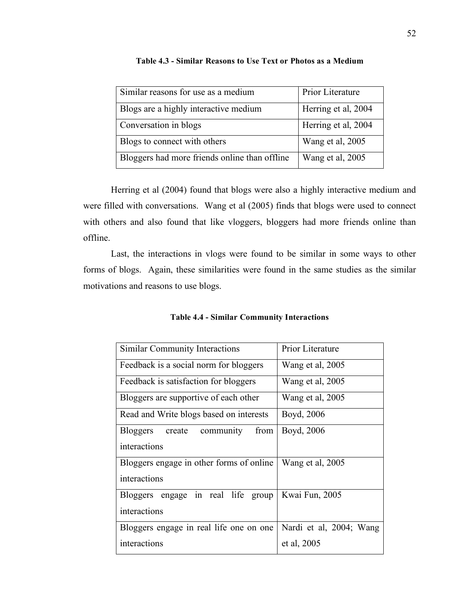| Similar reasons for use as a medium           | Prior Literature    |
|-----------------------------------------------|---------------------|
| Blogs are a highly interactive medium         | Herring et al, 2004 |
| Conversation in blogs                         | Herring et al, 2004 |
| Blogs to connect with others                  | Wang et al, 2005    |
| Bloggers had more friends online than offline | Wang et al, 2005    |

**Table 4.3 - Similar Reasons to Use Text or Photos as a Medium**

Herring et al (2004) found that blogs were also a highly interactive medium and were filled with conversations. Wang et al (2005) finds that blogs were used to connect with others and also found that like vloggers, bloggers had more friends online than offline.

Last, the interactions in vlogs were found to be similar in some ways to other forms of blogs. Again, these similarities were found in the same studies as the similar motivations and reasons to use blogs.

**Table 4.4 - Similar Community Interactions**

| <b>Similar Community Interactions</b>          | Prior Literature        |
|------------------------------------------------|-------------------------|
| Feedback is a social norm for bloggers         | Wang et al, 2005        |
| Feedback is satisfaction for bloggers          | Wang et al, 2005        |
| Bloggers are supportive of each other          | Wang et al, 2005        |
| Read and Write blogs based on interests        | Boyd, 2006              |
| from<br>community<br>create<br><b>Bloggers</b> | Boyd, 2006              |
| interactions                                   |                         |
| Bloggers engage in other forms of online       | Wang et al, 2005        |
| interactions                                   |                         |
| Bloggers engage in real life group             | Kwai Fun, 2005          |
| interactions                                   |                         |
| Bloggers engage in real life one on one        | Nardi et al, 2004; Wang |
| interactions                                   | et al, 2005             |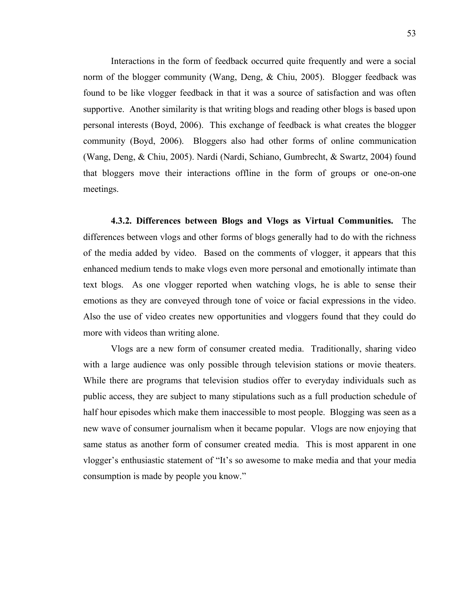Interactions in the form of feedback occurred quite frequently and were a social norm of the blogger community (Wang, Deng, & Chiu, 2005). Blogger feedback was found to be like vlogger feedback in that it was a source of satisfaction and was often supportive. Another similarity is that writing blogs and reading other blogs is based upon personal interests (Boyd, 2006). This exchange of feedback is what creates the blogger community (Boyd, 2006). Bloggers also had other forms of online communication (Wang, Deng, & Chiu, 2005). Nardi (Nardi, Schiano, Gumbrecht, & Swartz, 2004) found that bloggers move their interactions offline in the form of groups or one-on-one meetings.

**4.3.2. Differences between Blogs and Vlogs as Virtual Communities.** The differences between vlogs and other forms of blogs generally had to do with the richness of the media added by video. Based on the comments of vlogger, it appears that this enhanced medium tends to make vlogs even more personal and emotionally intimate than text blogs. As one vlogger reported when watching vlogs, he is able to sense their emotions as they are conveyed through tone of voice or facial expressions in the video. Also the use of video creates new opportunities and vloggers found that they could do more with videos than writing alone.

Vlogs are a new form of consumer created media. Traditionally, sharing video with a large audience was only possible through television stations or movie theaters. While there are programs that television studios offer to everyday individuals such as public access, they are subject to many stipulations such as a full production schedule of half hour episodes which make them inaccessible to most people. Blogging was seen as a new wave of consumer journalism when it became popular. Vlogs are now enjoying that same status as another form of consumer created media. This is most apparent in one vlogger's enthusiastic statement of "It's so awesome to make media and that your media consumption is made by people you know."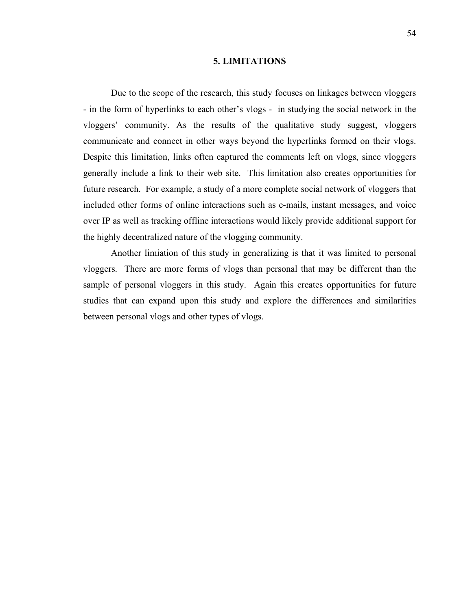#### **5. LIMITATIONS**

Due to the scope of the research, this study focuses on linkages between vloggers - in the form of hyperlinks to each other's vlogs - in studying the social network in the vloggers' community. As the results of the qualitative study suggest, vloggers communicate and connect in other ways beyond the hyperlinks formed on their vlogs. Despite this limitation, links often captured the comments left on vlogs, since vloggers generally include a link to their web site. This limitation also creates opportunities for future research. For example, a study of a more complete social network of vloggers that included other forms of online interactions such as e-mails, instant messages, and voice over IP as well as tracking offline interactions would likely provide additional support for the highly decentralized nature of the vlogging community.

Another limiation of this study in generalizing is that it was limited to personal vloggers. There are more forms of vlogs than personal that may be different than the sample of personal vloggers in this study. Again this creates opportunities for future studies that can expand upon this study and explore the differences and similarities between personal vlogs and other types of vlogs.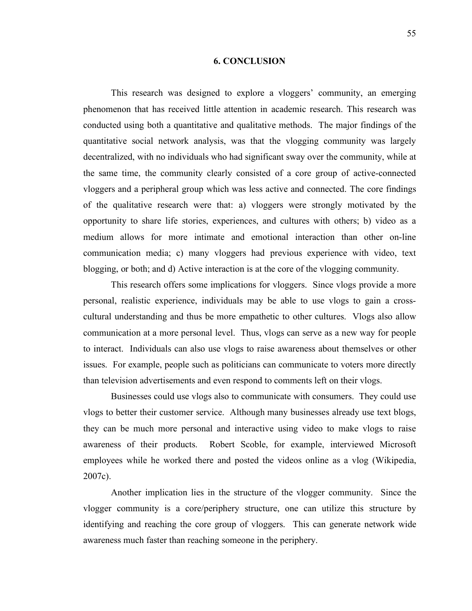#### **6. CONCLUSION**

This research was designed to explore a vloggers' community, an emerging phenomenon that has received little attention in academic research. This research was conducted using both a quantitative and qualitative methods. The major findings of the quantitative social network analysis, was that the vlogging community was largely decentralized, with no individuals who had significant sway over the community, while at the same time, the community clearly consisted of a core group of active-connected vloggers and a peripheral group which was less active and connected. The core findings of the qualitative research were that: a) vloggers were strongly motivated by the opportunity to share life stories, experiences, and cultures with others; b) video as a medium allows for more intimate and emotional interaction than other on-line communication media; c) many vloggers had previous experience with video, text blogging, or both; and d) Active interaction is at the core of the vlogging community.

This research offers some implications for vloggers. Since vlogs provide a more personal, realistic experience, individuals may be able to use vlogs to gain a crosscultural understanding and thus be more empathetic to other cultures. Vlogs also allow communication at a more personal level. Thus, vlogs can serve as a new way for people to interact. Individuals can also use vlogs to raise awareness about themselves or other issues. For example, people such as politicians can communicate to voters more directly than television advertisements and even respond to comments left on their vlogs.

Businesses could use vlogs also to communicate with consumers. They could use vlogs to better their customer service. Although many businesses already use text blogs, they can be much more personal and interactive using video to make vlogs to raise awareness of their products. Robert Scoble, for example, interviewed Microsoft employees while he worked there and posted the videos online as a vlog (Wikipedia, 2007c).

Another implication lies in the structure of the vlogger community. Since the vlogger community is a core/periphery structure, one can utilize this structure by identifying and reaching the core group of vloggers. This can generate network wide awareness much faster than reaching someone in the periphery.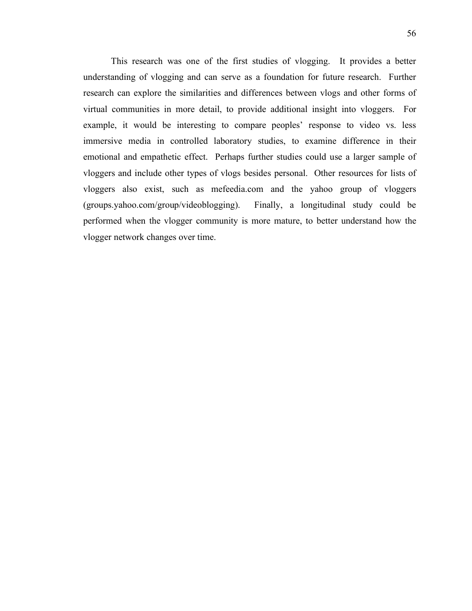This research was one of the first studies of vlogging. It provides a better understanding of vlogging and can serve as a foundation for future research. Further research can explore the similarities and differences between vlogs and other forms of virtual communities in more detail, to provide additional insight into vloggers. For example, it would be interesting to compare peoples' response to video vs. less immersive media in controlled laboratory studies, to examine difference in their emotional and empathetic effect. Perhaps further studies could use a larger sample of vloggers and include other types of vlogs besides personal. Other resources for lists of vloggers also exist, such as mefeedia.com and the yahoo group of vloggers (groups.yahoo.com/group/videoblogging). Finally, a longitudinal study could be performed when the vlogger community is more mature, to better understand how the vlogger network changes over time.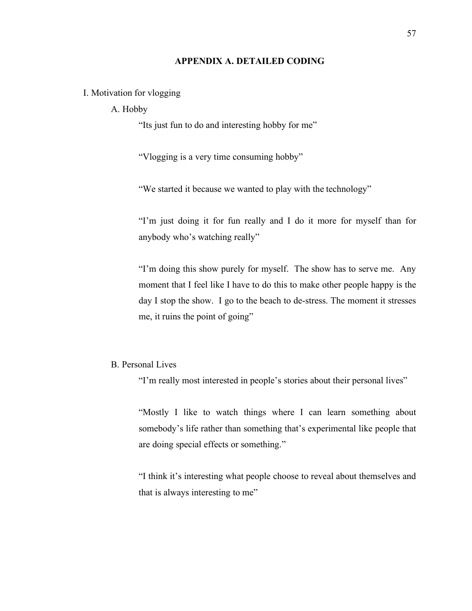### **APPENDIX A. DETAILED CODING**

### I. Motivation for vlogging

### A. Hobby

"Its just fun to do and interesting hobby for me"

"Vlogging is a very time consuming hobby"

"We started it because we wanted to play with the technology"

"I'm just doing it for fun really and I do it more for myself than for anybody who's watching really"

"I'm doing this show purely for myself. The show has to serve me. Any moment that I feel like I have to do this to make other people happy is the day I stop the show. I go to the beach to de-stress. The moment it stresses me, it ruins the point of going"

# B. Personal Lives

"I'm really most interested in people's stories about their personal lives"

"Mostly I like to watch things where I can learn something about somebody's life rather than something that's experimental like people that are doing special effects or something."

"I think it's interesting what people choose to reveal about themselves and that is always interesting to me"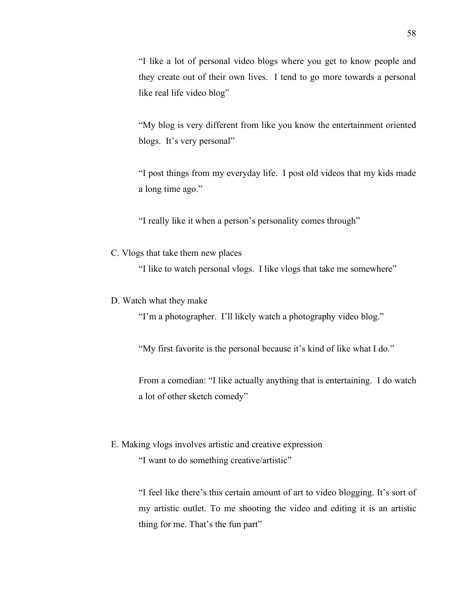"I like a lot of personal video blogs where you get to know people and they create out of their own lives. I tend to go more towards a personal like real life video blog"

"My blog is very different from like you know the entertainment oriented blogs. It's very personal"

"I post things from my everyday life. I post old videos that my kids made a long time ago."

"I really like it when a person's personality comes through"

C. Vlogs that take them new places

"I like to watch personal vlogs. I like vlogs that take me somewhere"

D. Watch what they make

"I'm a photographer. I'll likely watch a photography video blog."

"My first favorite is the personal because it's kind of like what I do."

From a comedian: "I like actually anything that is entertaining. I do watch a lot of other sketch comedy"

E. Making vlogs involves artistic and creative expression

"I want to do something creative/artistic"

"I feel like there's this certain amount of art to video blogging. It's sort of my artistic outlet. To me shooting the video and editing it is an artistic thing for me. That's the fun part"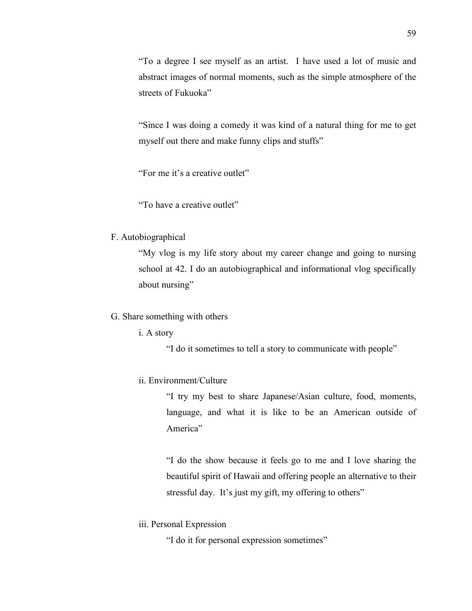"To a degree I see myself as an artist. I have used a lot of music and abstract images of normal moments, such as the simple atmosphere of the streets of Fukuoka"

"Since I was doing a comedy it was kind of a natural thing for me to get myself out there and make funny clips and stuffs"

"For me it's a creative outlet"

"To have a creative outlet"

### F. Autobiographical

"My vlog is my life story about my career change and going to nursing school at 42. I do an autobiographical and informational vlog specifically about nursing"

### G. Share something with others

i. A story

"I do it sometimes to tell a story to communicate with people"

# ii. Environment/Culture

"I try my best to share Japanese/Asian culture, food, moments, language, and what it is like to be an American outside of America"

"I do the show because it feels go to me and I love sharing the beautiful spirit of Hawaii and offering people an alternative to their stressful day. It's just my gift, my offering to others"

iii. Personal Expression

"I do it for personal expression sometimes"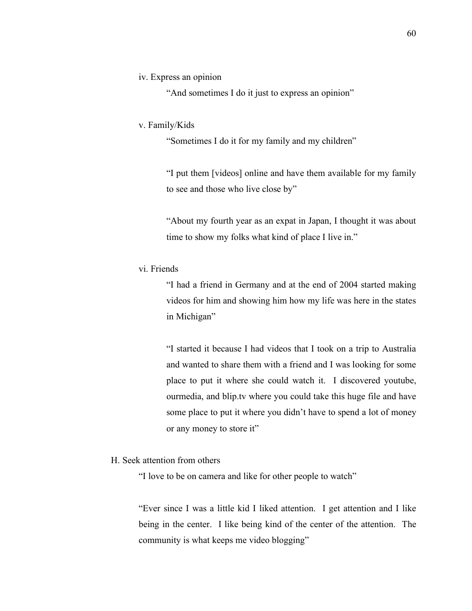### iv. Express an opinion

"And sometimes I do it just to express an opinion"

### v. Family/Kids

"Sometimes I do it for my family and my children"

"I put them [videos] online and have them available for my family to see and those who live close by"

"About my fourth year as an expat in Japan, I thought it was about time to show my folks what kind of place I live in."

# vi. Friends

"I had a friend in Germany and at the end of 2004 started making videos for him and showing him how my life was here in the states in Michigan"

"I started it because I had videos that I took on a trip to Australia and wanted to share them with a friend and I was looking for some place to put it where she could watch it. I discovered youtube, ourmedia, and blip.tv where you could take this huge file and have some place to put it where you didn't have to spend a lot of money or any money to store it"

### H. Seek attention from others

"I love to be on camera and like for other people to watch"

"Ever since I was a little kid I liked attention. I get attention and I like being in the center. I like being kind of the center of the attention. The community is what keeps me video blogging"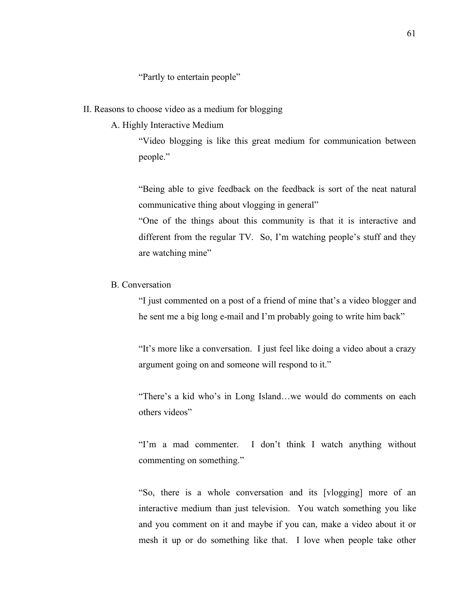"Partly to entertain people"

### II. Reasons to choose video as a medium for blogging

A. Highly Interactive Medium

"Video blogging is like this great medium for communication between people."

"Being able to give feedback on the feedback is sort of the neat natural communicative thing about vlogging in general"

"One of the things about this community is that it is interactive and different from the regular TV. So, I'm watching people's stuff and they are watching mine"

# B. Conversation

"I just commented on a post of a friend of mine that's a video blogger and he sent me a big long e-mail and I'm probably going to write him back"

"It's more like a conversation. I just feel like doing a video about a crazy argument going on and someone will respond to it."

"There's a kid who's in Long Island…we would do comments on each others videos"

"I'm a mad commenter. I don't think I watch anything without commenting on something."

"So, there is a whole conversation and its [vlogging] more of an interactive medium than just television. You watch something you like and you comment on it and maybe if you can, make a video about it or mesh it up or do something like that. I love when people take other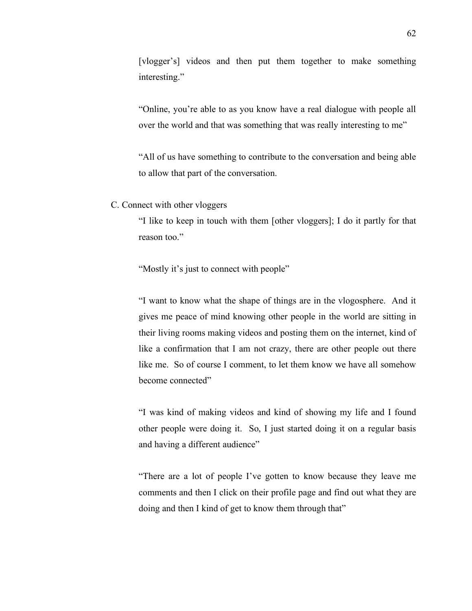[vlogger's] videos and then put them together to make something interesting."

"Online, you're able to as you know have a real dialogue with people all over the world and that was something that was really interesting to me"

"All of us have something to contribute to the conversation and being able to allow that part of the conversation.

C. Connect with other vloggers

"I like to keep in touch with them [other vloggers]; I do it partly for that reason too."

"Mostly it's just to connect with people"

"I want to know what the shape of things are in the vlogosphere. And it gives me peace of mind knowing other people in the world are sitting in their living rooms making videos and posting them on the internet, kind of like a confirmation that I am not crazy, there are other people out there like me. So of course I comment, to let them know we have all somehow become connected"

"I was kind of making videos and kind of showing my life and I found other people were doing it. So, I just started doing it on a regular basis and having a different audience"

"There are a lot of people I've gotten to know because they leave me comments and then I click on their profile page and find out what they are doing and then I kind of get to know them through that"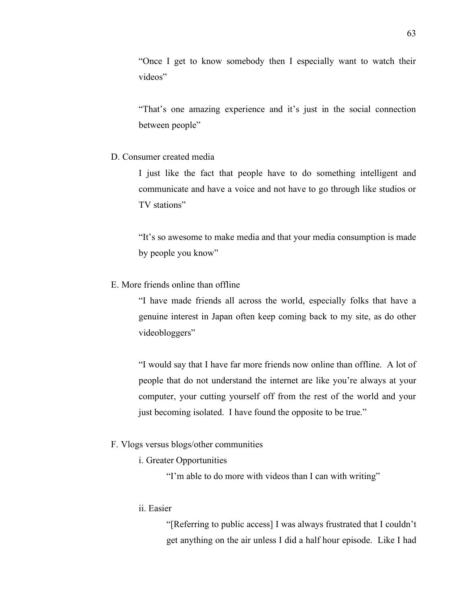"Once I get to know somebody then I especially want to watch their videos"

"That's one amazing experience and it's just in the social connection between people"

### D. Consumer created media

I just like the fact that people have to do something intelligent and communicate and have a voice and not have to go through like studios or TV stations"

"It's so awesome to make media and that your media consumption is made by people you know"

E. More friends online than offline

"I have made friends all across the world, especially folks that have a genuine interest in Japan often keep coming back to my site, as do other videobloggers"

"I would say that I have far more friends now online than offline. A lot of people that do not understand the internet are like you're always at your computer, your cutting yourself off from the rest of the world and your just becoming isolated. I have found the opposite to be true."

#### F. Vlogs versus blogs/other communities

i. Greater Opportunities

"I'm able to do more with videos than I can with writing"

### ii. Easier

"[Referring to public access] I was always frustrated that I couldn't get anything on the air unless I did a half hour episode. Like I had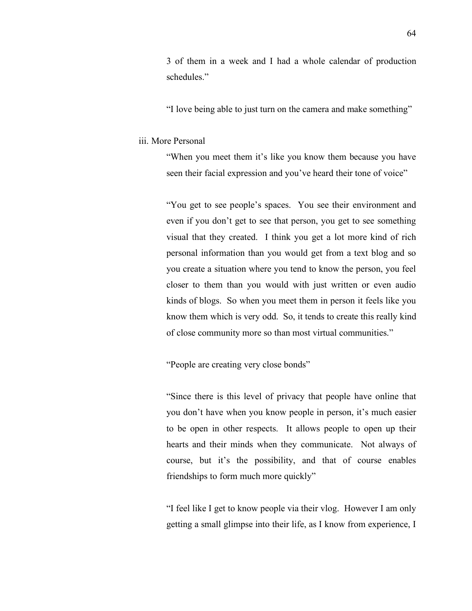3 of them in a week and I had a whole calendar of production schedules."

"I love being able to just turn on the camera and make something"

#### iii. More Personal

"When you meet them it's like you know them because you have seen their facial expression and you've heard their tone of voice"

"You get to see people's spaces. You see their environment and even if you don't get to see that person, you get to see something visual that they created. I think you get a lot more kind of rich personal information than you would get from a text blog and so you create a situation where you tend to know the person, you feel closer to them than you would with just written or even audio kinds of blogs. So when you meet them in person it feels like you know them which is very odd. So, it tends to create this really kind of close community more so than most virtual communities."

"People are creating very close bonds"

"Since there is this level of privacy that people have online that you don't have when you know people in person, it's much easier to be open in other respects. It allows people to open up their hearts and their minds when they communicate. Not always of course, but it's the possibility, and that of course enables friendships to form much more quickly"

"I feel like I get to know people via their vlog. However I am only getting a small glimpse into their life, as I know from experience, I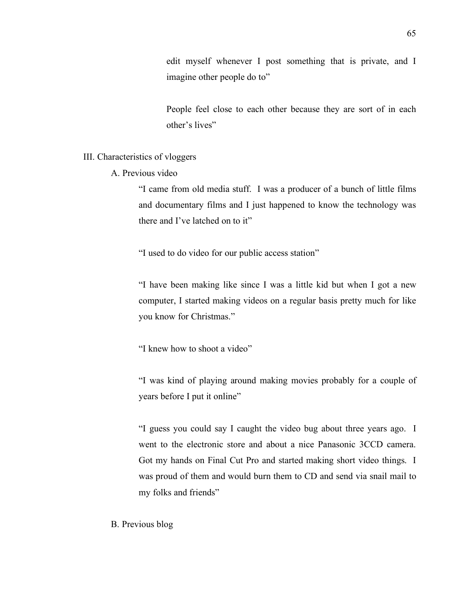edit myself whenever I post something that is private, and I imagine other people do to"

People feel close to each other because they are sort of in each other's lives"

### III. Characteristics of vloggers

A. Previous video

"I came from old media stuff. I was a producer of a bunch of little films and documentary films and I just happened to know the technology was there and I've latched on to it"

"I used to do video for our public access station"

"I have been making like since I was a little kid but when I got a new computer, I started making videos on a regular basis pretty much for like you know for Christmas."

"I knew how to shoot a video"

"I was kind of playing around making movies probably for a couple of years before I put it online"

"I guess you could say I caught the video bug about three years ago. I went to the electronic store and about a nice Panasonic 3CCD camera. Got my hands on Final Cut Pro and started making short video things. I was proud of them and would burn them to CD and send via snail mail to my folks and friends"

B. Previous blog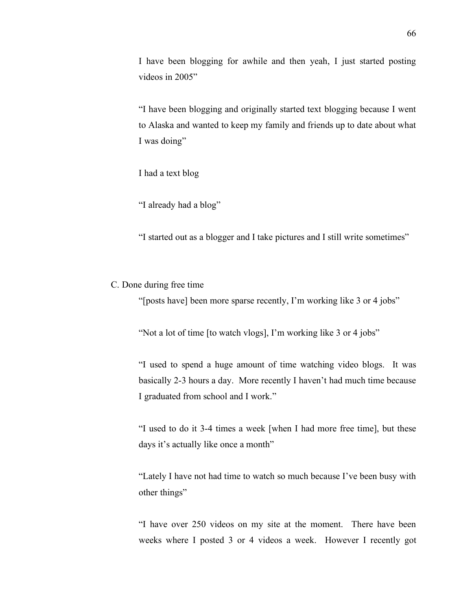I have been blogging for awhile and then yeah, I just started posting videos in 2005"

"I have been blogging and originally started text blogging because I went to Alaska and wanted to keep my family and friends up to date about what I was doing"

I had a text blog

"I already had a blog"

"I started out as a blogger and I take pictures and I still write sometimes"

## C. Done during free time

"[posts have] been more sparse recently, I'm working like 3 or 4 jobs"

"Not a lot of time [to watch vlogs], I'm working like 3 or 4 jobs"

"I used to spend a huge amount of time watching video blogs. It was basically 2-3 hours a day. More recently I haven't had much time because I graduated from school and I work."

"I used to do it 3-4 times a week [when I had more free time], but these days it's actually like once a month"

"Lately I have not had time to watch so much because I've been busy with other things"

"I have over 250 videos on my site at the moment. There have been weeks where I posted 3 or 4 videos a week. However I recently got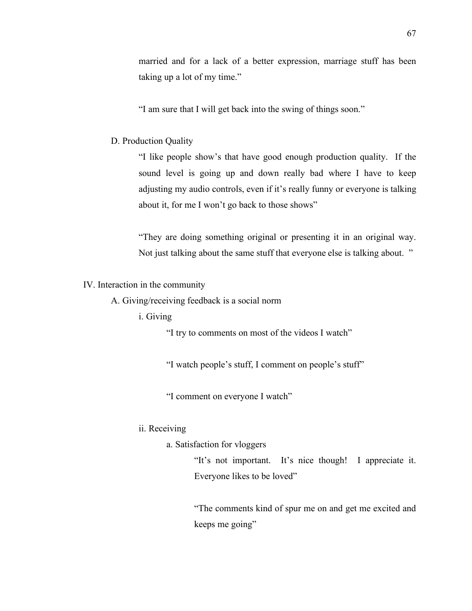married and for a lack of a better expression, marriage stuff has been taking up a lot of my time."

"I am sure that I will get back into the swing of things soon."

#### D. Production Quality

"I like people show's that have good enough production quality. If the sound level is going up and down really bad where I have to keep adjusting my audio controls, even if it's really funny or everyone is talking about it, for me I won't go back to those shows"

"They are doing something original or presenting it in an original way. Not just talking about the same stuff that everyone else is talking about. "

IV. Interaction in the community

A. Giving/receiving feedback is a social norm

### i. Giving

"I try to comments on most of the videos I watch"

"I watch people's stuff, I comment on people's stuff"

"I comment on everyone I watch"

## ii. Receiving

a. Satisfaction for vloggers

"It's not important. It's nice though! I appreciate it. Everyone likes to be loved"

"The comments kind of spur me on and get me excited and keeps me going"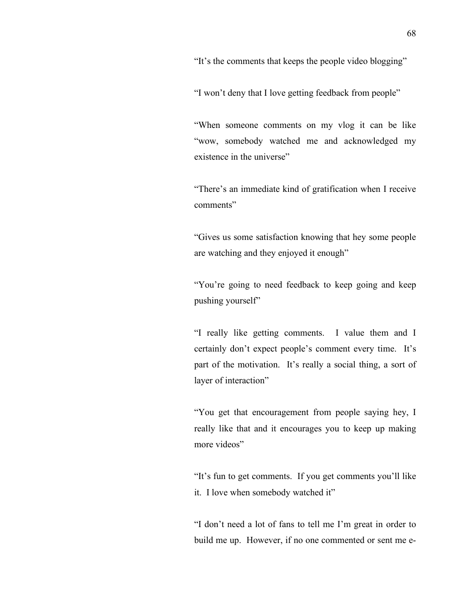"It's the comments that keeps the people video blogging"

"I won't deny that I love getting feedback from people"

"When someone comments on my vlog it can be like "wow, somebody watched me and acknowledged my existence in the universe"

"There's an immediate kind of gratification when I receive comments"

"Gives us some satisfaction knowing that hey some people are watching and they enjoyed it enough"

"You're going to need feedback to keep going and keep pushing yourself"

"I really like getting comments. I value them and I certainly don't expect people's comment every time. It's part of the motivation. It's really a social thing, a sort of layer of interaction"

"You get that encouragement from people saying hey, I really like that and it encourages you to keep up making more videos"

"It's fun to get comments. If you get comments you'll like it. I love when somebody watched it"

"I don't need a lot of fans to tell me I'm great in order to build me up. However, if no one commented or sent me e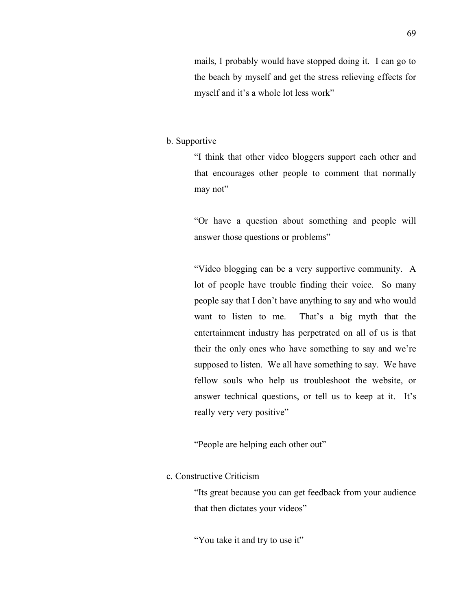mails, I probably would have stopped doing it. I can go to the beach by myself and get the stress relieving effects for myself and it's a whole lot less work"

### b. Supportive

"I think that other video bloggers support each other and that encourages other people to comment that normally may not"

"Or have a question about something and people will answer those questions or problems"

"Video blogging can be a very supportive community. A lot of people have trouble finding their voice. So many people say that I don't have anything to say and who would want to listen to me. That's a big myth that the entertainment industry has perpetrated on all of us is that their the only ones who have something to say and we're supposed to listen. We all have something to say. We have fellow souls who help us troubleshoot the website, or answer technical questions, or tell us to keep at it. It's really very very positive"

"People are helping each other out"

# c. Constructive Criticism

"Its great because you can get feedback from your audience that then dictates your videos"

"You take it and try to use it"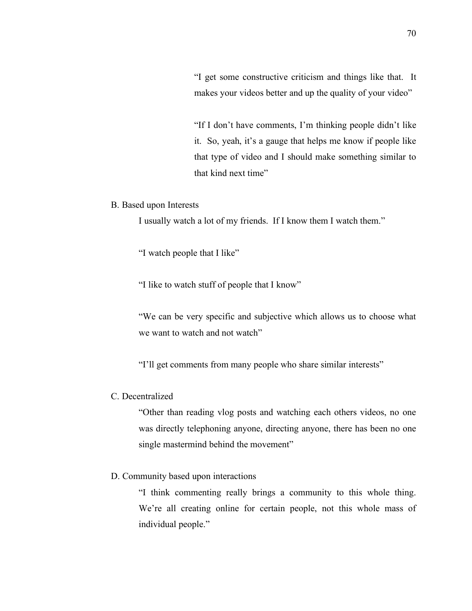"I get some constructive criticism and things like that. It makes your videos better and up the quality of your video"

"If I don't have comments, I'm thinking people didn't like it. So, yeah, it's a gauge that helps me know if people like that type of video and I should make something similar to that kind next time"

## B. Based upon Interests

I usually watch a lot of my friends. If I know them I watch them."

"I watch people that I like"

"I like to watch stuff of people that I know"

"We can be very specific and subjective which allows us to choose what we want to watch and not watch"

"I'll get comments from many people who share similar interests"

## C. Decentralized

"Other than reading vlog posts and watching each others videos, no one was directly telephoning anyone, directing anyone, there has been no one single mastermind behind the movement"

### D. Community based upon interactions

"I think commenting really brings a community to this whole thing. We're all creating online for certain people, not this whole mass of individual people."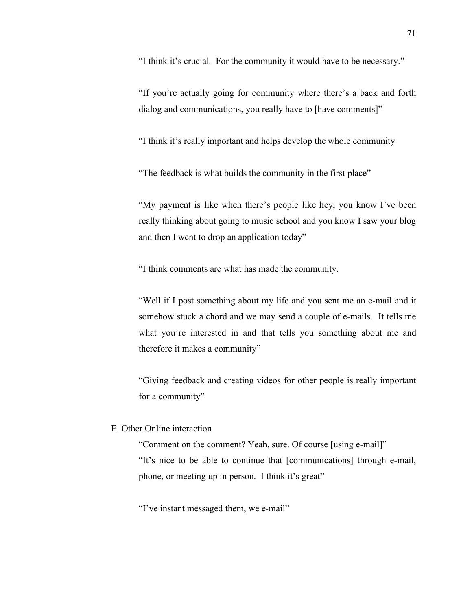"I think it's crucial. For the community it would have to be necessary."

"If you're actually going for community where there's a back and forth dialog and communications, you really have to [have comments]"

"I think it's really important and helps develop the whole community

"The feedback is what builds the community in the first place"

"My payment is like when there's people like hey, you know I've been really thinking about going to music school and you know I saw your blog and then I went to drop an application today"

"I think comments are what has made the community.

"Well if I post something about my life and you sent me an e-mail and it somehow stuck a chord and we may send a couple of e-mails. It tells me what you're interested in and that tells you something about me and therefore it makes a community"

"Giving feedback and creating videos for other people is really important for a community"

## E. Other Online interaction

"Comment on the comment? Yeah, sure. Of course [using e-mail]" "It's nice to be able to continue that [communications] through e-mail, phone, or meeting up in person. I think it's great"

"I've instant messaged them, we e-mail"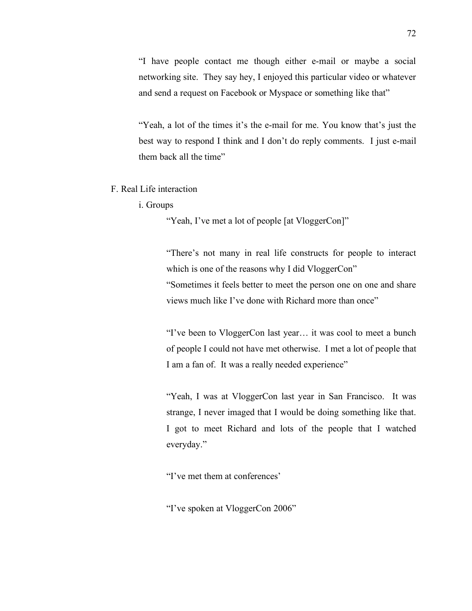"I have people contact me though either e-mail or maybe a social networking site. They say hey, I enjoyed this particular video or whatever and send a request on Facebook or Myspace or something like that"

"Yeah, a lot of the times it's the e-mail for me. You know that's just the best way to respond I think and I don't do reply comments. I just e-mail them back all the time"

- F. Real Life interaction
	- i. Groups

"Yeah, I've met a lot of people [at VloggerCon]"

"There's not many in real life constructs for people to interact which is one of the reasons why I did VloggerCon" "Sometimes it feels better to meet the person one on one and share views much like I've done with Richard more than once"

"I've been to VloggerCon last year… it was cool to meet a bunch of people I could not have met otherwise. I met a lot of people that I am a fan of. It was a really needed experience"

"Yeah, I was at VloggerCon last year in San Francisco. It was strange, I never imaged that I would be doing something like that. I got to meet Richard and lots of the people that I watched everyday."

"I've met them at conferences'

"I've spoken at VloggerCon 2006"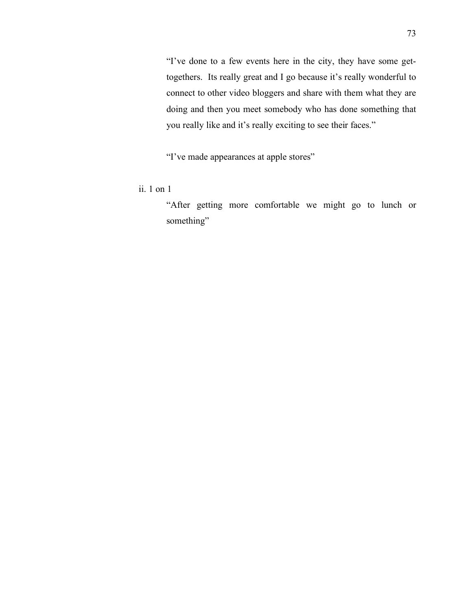"I've done to a few events here in the city, they have some gettogethers. Its really great and I go because it's really wonderful to connect to other video bloggers and share with them what they are doing and then you meet somebody who has done something that you really like and it's really exciting to see their faces."

"I've made appearances at apple stores"

ii. 1 on 1

"After getting more comfortable we might go to lunch or something"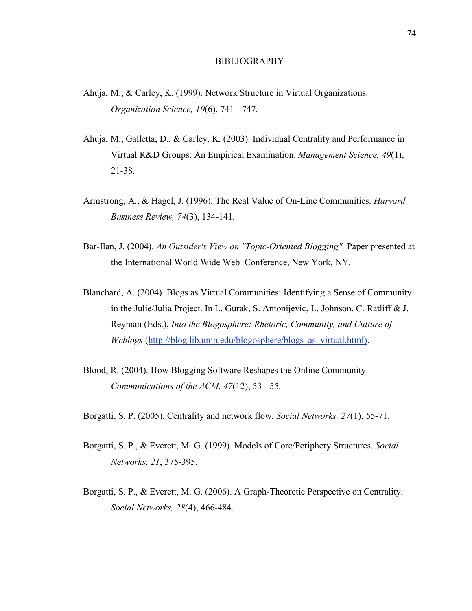#### BIBLIOGRAPHY

- Ahuja, M., & Carley, K. (1999). Network Structure in Virtual Organizations. *Organization Science, 10*(6), 741 - 747.
- Ahuja, M., Galletta, D., & Carley, K. (2003). Individual Centrality and Performance in Virtual R&D Groups: An Empirical Examination. *Management Science, 49*(1), 21-38.
- Armstrong, A., & Hagel, J. (1996). The Real Value of On-Line Communities. *Harvard Business Review, 74*(3), 134-141.
- Bar-Ilan, J. (2004). *An Outsider's View on "Topic-Oriented Blogging".* Paper presented at the International World Wide Web Conference, New York, NY.
- Blanchard, A. (2004). Blogs as Virtual Communities: Identifying a Sense of Community in the Julie/Julia Project. In L. Gurak, S. Antonijevic, L. Johnson, C. Ratliff & J. Reyman (Eds.), *Into the Blogosphere: Rhetoric, Community, and Culture of Weblogs* (http://blog.lib.umn.edu/blogosphere/blogs\_as\_virtual.html).
- Blood, R. (2004). How Blogging Software Reshapes the Online Community. *Communications of the ACM, 47*(12), 53 - 55.
- Borgatti, S. P. (2005). Centrality and network flow. *Social Networks, 27*(1), 55-71.
- Borgatti, S. P., & Everett, M. G. (1999). Models of Core/Periphery Structures. *Social Networks, 21*, 375-395.
- Borgatti, S. P., & Everett, M. G. (2006). A Graph-Theoretic Perspective on Centrality. *Social Networks, 28*(4), 466-484.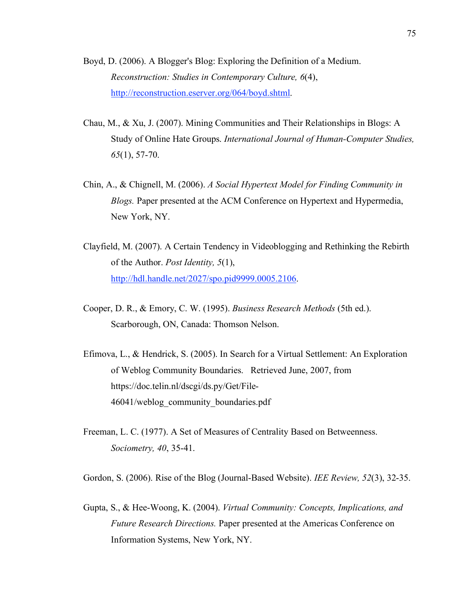- Boyd, D. (2006). A Blogger's Blog: Exploring the Definition of a Medium. *Reconstruction: Studies in Contemporary Culture, 6*(4), http://reconstruction.eserver.org/064/boyd.shtml.
- Chau, M., & Xu, J. (2007). Mining Communities and Their Relationships in Blogs: A Study of Online Hate Groups. *International Journal of Human-Computer Studies, 65*(1), 57-70.
- Chin, A., & Chignell, M. (2006). *A Social Hypertext Model for Finding Community in Blogs.* Paper presented at the ACM Conference on Hypertext and Hypermedia, New York, NY.
- Clayfield, M. (2007). A Certain Tendency in Videoblogging and Rethinking the Rebirth of the Author. *Post Identity, 5*(1), http://hdl.handle.net/2027/spo.pid9999.0005.2106.
- Cooper, D. R., & Emory, C. W. (1995). *Business Research Methods* (5th ed.). Scarborough, ON, Canada: Thomson Nelson.
- Efimova, L., & Hendrick, S. (2005). In Search for a Virtual Settlement: An Exploration of Weblog Community Boundaries. Retrieved June, 2007, from https://doc.telin.nl/dscgi/ds.py/Get/File-46041/weblog\_community\_boundaries.pdf
- Freeman, L. C. (1977). A Set of Measures of Centrality Based on Betweenness. *Sociometry, 40*, 35-41.

Gordon, S. (2006). Rise of the Blog (Journal-Based Website). *IEE Review, 52*(3), 32-35.

Gupta, S., & Hee-Woong, K. (2004). *Virtual Community: Concepts, Implications, and Future Research Directions.* Paper presented at the Americas Conference on Information Systems, New York, NY.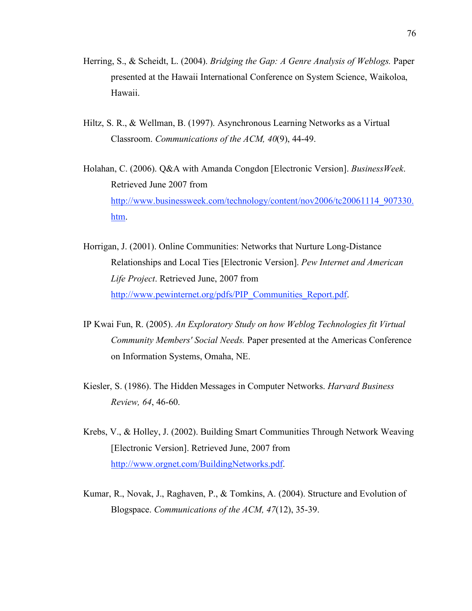- Herring, S., & Scheidt, L. (2004). *Bridging the Gap: A Genre Analysis of Weblogs.* Paper presented at the Hawaii International Conference on System Science, Waikoloa, Hawaii.
- Hiltz, S. R., & Wellman, B. (1997). Asynchronous Learning Networks as a Virtual Classroom. *Communications of the ACM, 40*(9), 44-49.
- Holahan, C. (2006). Q&A with Amanda Congdon [Electronic Version]. *BusinessWeek*. Retrieved June 2007 from http://www.businessweek.com/technology/content/nov2006/tc20061114\_907330. htm.
- Horrigan, J. (2001). Online Communities: Networks that Nurture Long-Distance Relationships and Local Ties [Electronic Version]. *Pew Internet and American Life Project*. Retrieved June, 2007 from http://www.pewinternet.org/pdfs/PIP\_Communities\_Report.pdf.
- IP Kwai Fun, R. (2005). *An Exploratory Study on how Weblog Technologies fit Virtual Community Members' Social Needs.* Paper presented at the Americas Conference on Information Systems, Omaha, NE.
- Kiesler, S. (1986). The Hidden Messages in Computer Networks. *Harvard Business Review, 64*, 46-60.
- Krebs, V., & Holley, J. (2002). Building Smart Communities Through Network Weaving [Electronic Version]. Retrieved June, 2007 from http://www.orgnet.com/BuildingNetworks.pdf.
- Kumar, R., Novak, J., Raghaven, P., & Tomkins, A. (2004). Structure and Evolution of Blogspace. *Communications of the ACM, 47*(12), 35-39.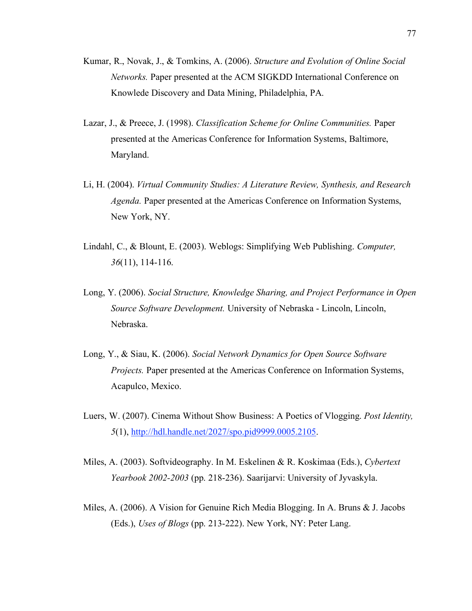- Kumar, R., Novak, J., & Tomkins, A. (2006). *Structure and Evolution of Online Social Networks.* Paper presented at the ACM SIGKDD International Conference on Knowlede Discovery and Data Mining, Philadelphia, PA.
- Lazar, J., & Preece, J. (1998). *Classification Scheme for Online Communities.* Paper presented at the Americas Conference for Information Systems, Baltimore, Maryland.
- Li, H. (2004). *Virtual Community Studies: A Literature Review, Synthesis, and Research Agenda.* Paper presented at the Americas Conference on Information Systems, New York, NY.
- Lindahl, C., & Blount, E. (2003). Weblogs: Simplifying Web Publishing. *Computer, 36*(11), 114-116.
- Long, Y. (2006). *Social Structure, Knowledge Sharing, and Project Performance in Open Source Software Development.* University of Nebraska - Lincoln, Lincoln, Nebraska.
- Long, Y., & Siau, K. (2006). *Social Network Dynamics for Open Source Software Projects.* Paper presented at the Americas Conference on Information Systems, Acapulco, Mexico.
- Luers, W. (2007). Cinema Without Show Business: A Poetics of Vlogging. *Post Identity, 5*(1), http://hdl.handle.net/2027/spo.pid9999.0005.2105.
- Miles, A. (2003). Softvideography. In M. Eskelinen & R. Koskimaa (Eds.), *Cybertext Yearbook 2002-2003* (pp. 218-236). Saarijarvi: University of Jyvaskyla.
- Miles, A. (2006). A Vision for Genuine Rich Media Blogging. In A. Bruns & J. Jacobs (Eds.), *Uses of Blogs* (pp. 213-222). New York, NY: Peter Lang.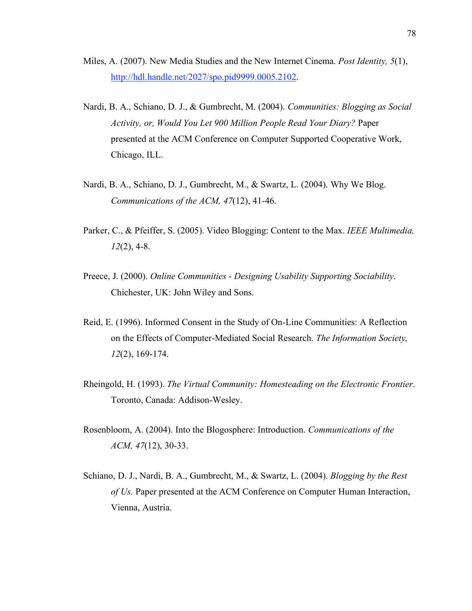- Miles, A. (2007). New Media Studies and the New Internet Cinema. *Post Identity, 5*(1), http://hdl.handle.net/2027/spo.pid9999.0005.2102.
- Nardi, B. A., Schiano, D. J., & Gumbrecht, M. (2004). *Communities: Blogging as Social Activity, or, Would You Let 900 Million People Read Your Diary?* Paper presented at the ACM Conference on Computer Supported Cooperative Work, Chicago, ILL.
- Nardi, B. A., Schiano, D. J., Gumbrecht, M., & Swartz, L. (2004). Why We Blog. *Communications of the ACM, 47*(12), 41-46.
- Parker, C., & Pfeiffer, S. (2005). Video Blogging: Content to the Max. *IEEE Multimedia, 12*(2), 4-8.
- Preece, J. (2000). *Online Communities - Designing Usability Supporting Sociability*. Chichester, UK: John Wiley and Sons.
- Reid, E. (1996). Informed Consent in the Study of On-Line Communities: A Reflection on the Effects of Computer-Mediated Social Research. *The Information Society, 12*(2), 169-174.
- Rheingold, H. (1993). *The Virtual Community: Homesteading on the Electronic Frontier*. Toronto, Canada: Addison-Wesley.
- Rosenbloom, A. (2004). Into the Blogosphere: Introduction. *Communications of the ACM, 47*(12), 30-33.
- Schiano, D. J., Nardi, B. A., Gumbrecht, M., & Swartz, L. (2004). *Blogging by the Rest of Us.* Paper presented at the ACM Conference on Computer Human Interaction, Vienna, Austria.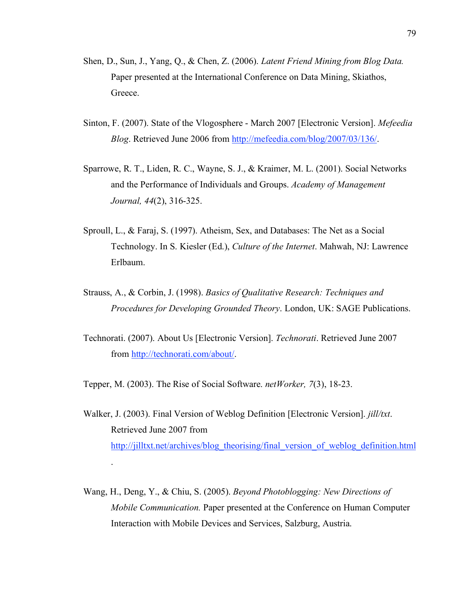- Shen, D., Sun, J., Yang, Q., & Chen, Z. (2006). *Latent Friend Mining from Blog Data.* Paper presented at the International Conference on Data Mining, Skiathos, Greece.
- Sinton, F. (2007). State of the Vlogosphere March 2007 [Electronic Version]. *Mefeedia Blog*. Retrieved June 2006 from http://mefeedia.com/blog/2007/03/136/.
- Sparrowe, R. T., Liden, R. C., Wayne, S. J., & Kraimer, M. L. (2001). Social Networks and the Performance of Individuals and Groups. *Academy of Management Journal, 44*(2), 316-325.
- Sproull, L., & Faraj, S. (1997). Atheism, Sex, and Databases: The Net as a Social Technology. In S. Kiesler (Ed.), *Culture of the Internet*. Mahwah, NJ: Lawrence Erlbaum.
- Strauss, A., & Corbin, J. (1998). *Basics of Qualitative Research: Techniques and Procedures for Developing Grounded Theory*. London, UK: SAGE Publications.
- Technorati. (2007). About Us [Electronic Version]. *Technorati*. Retrieved June 2007 from http://technorati.com/about/.

Tepper, M. (2003). The Rise of Social Software. *netWorker, 7*(3), 18-23.

.

- Walker, J. (2003). Final Version of Weblog Definition [Electronic Version]. *jill/txt*. Retrieved June 2007 from http://jilltxt.net/archives/blog\_theorising/final\_version\_of\_weblog\_definition.html
- Wang, H., Deng, Y., & Chiu, S. (2005). *Beyond Photoblogging: New Directions of Mobile Communication.* Paper presented at the Conference on Human Computer Interaction with Mobile Devices and Services, Salzburg, Austria.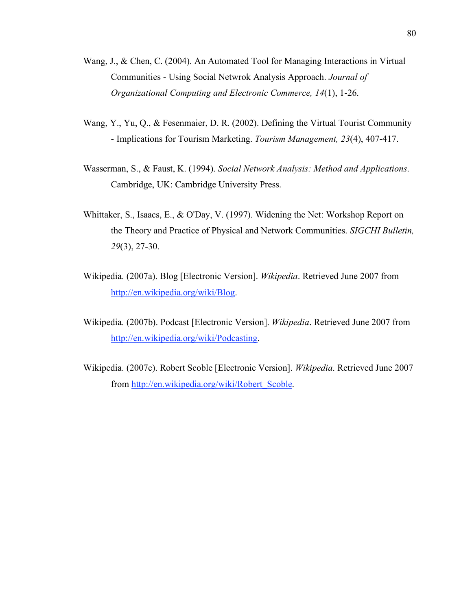- Wang, J., & Chen, C. (2004). An Automated Tool for Managing Interactions in Virtual Communities - Using Social Netwrok Analysis Approach. *Journal of Organizational Computing and Electronic Commerce, 14*(1), 1-26.
- Wang, Y., Yu, Q., & Fesenmaier, D. R. (2002). Defining the Virtual Tourist Community - Implications for Tourism Marketing. *Tourism Management, 23*(4), 407-417.
- Wasserman, S., & Faust, K. (1994). *Social Network Analysis: Method and Applications*. Cambridge, UK: Cambridge University Press.
- Whittaker, S., Isaacs, E., & O'Day, V. (1997). Widening the Net: Workshop Report on the Theory and Practice of Physical and Network Communities. *SIGCHI Bulletin, 29*(3), 27-30.
- Wikipedia. (2007a). Blog [Electronic Version]. *Wikipedia*. Retrieved June 2007 from http://en.wikipedia.org/wiki/Blog.
- Wikipedia. (2007b). Podcast [Electronic Version]. *Wikipedia*. Retrieved June 2007 from http://en.wikipedia.org/wiki/Podcasting.
- Wikipedia. (2007c). Robert Scoble [Electronic Version]. *Wikipedia*. Retrieved June 2007 from http://en.wikipedia.org/wiki/Robert\_Scoble.